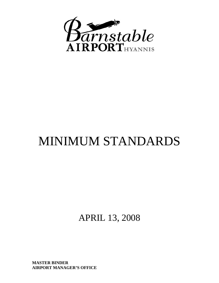

# MINIMUM STANDARDS

APRIL 13, 2008

**MASTER BINDER AIRPORT MANAGER'S OFFICE**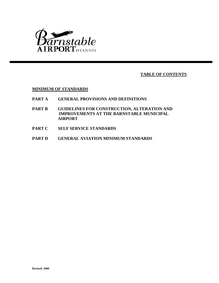

**TABLE OF CONTENTS**

**MINIMUM OF STANDARDS**

- **PART A GENERAL PROVISIONS AND DEFINITIONS**
- **PART B GUIDELINES FOR CONSTRUCTION, ALTERATION AND IMPROVEMENTS AT THE BARNSTABLE MUNICIPAL AIRPORT**
- **PART C SELF SERVICE STANDARDS**
- **PART D GENERAL AVIATION MINIMUM STANDARDS**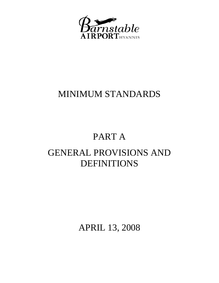

### MINIMUM STANDARDS

# PART A

# GENERAL PROVISIONS AND DEFINITIONS

APRIL 13, 2008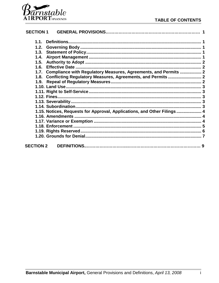

| <b>SECTION 1</b> |                                                                         |  |
|------------------|-------------------------------------------------------------------------|--|
|                  |                                                                         |  |
| 1.2.             |                                                                         |  |
|                  |                                                                         |  |
|                  |                                                                         |  |
|                  |                                                                         |  |
|                  |                                                                         |  |
|                  | 1.7. Compliance with Regulatory Measures, Agreements, and Permits  2    |  |
|                  | 1.8. Conflicting Regulatory Measures, Agreements, and Permits  2        |  |
|                  |                                                                         |  |
|                  |                                                                         |  |
|                  |                                                                         |  |
|                  |                                                                         |  |
|                  |                                                                         |  |
|                  |                                                                         |  |
|                  | 1.15. Notices, Requests for Approval, Applications, and Other Filings 4 |  |
|                  |                                                                         |  |
|                  |                                                                         |  |
|                  |                                                                         |  |
|                  |                                                                         |  |
|                  |                                                                         |  |
|                  |                                                                         |  |
| <b>SECTION 2</b> |                                                                         |  |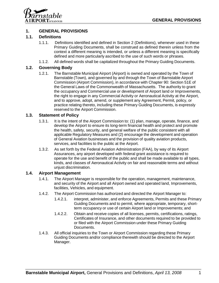

### **1. GENERAL PROVISIONS**

### **1.1. Definitions**

- 1.1.1. Definitions identified and defined in Section 2 (Definitions), whenever used in these Primary Guiding Documents, shall be construed as defined therein unless from the context a different meaning is intended, or unless a different meaning is specifically defined and more particularly ascribed to the use of such words or phrases.
- 1.1.2. All defined words shall be capitalized throughout the Primary Guiding Documents.

### **1.2. Governing Body**

1.2.1. The Barnstable Municipal Airport (Airport) is owned and operated by the Town of Barnstable (Town), and governed by and through the Town of Barnstable Airport Commission (Airport Commission), in accordance with Chapter 90: Section 51E of the General Laws of the Commonwealth of Massachusetts. The authority to grant the occupancy and Commercial use or development of Airport land or Improvements, the right to engage in any Commercial Activity or Aeronautical Activity at the Airport, and to approve, adopt, amend, or supplement any Agreement, Permit, policy, or practice relating thereto, including these Primary Guiding Documents, is expressly reserved to the Airport Commission.

### **1.3. Statement of Policy**

- 1.3.1. It is the intent of the Airport Commission to: (1) plan, manage, operate, finance, and develop the Airport to ensure its long-term financial health and protect and promote the health, safety, security, and general welfare of the public consistent with all applicable Regulatory Measures and (2) encourage the development and operation of General Aviation businesses and the provision of quality aviation products, services, and facilities to the public at the Airport.
- 1.3.2. As set forth by the Federal Aviation Administration (FAA), by way of its Airport Assurances, any airport developed with federal grant assistance is required to operate for the use and benefit of the public and shall be made available to all types, kinds, and classes of Aeronautical Activity on fair and reasonable terms and without unjust discrimination.

### **1.4. Airport Management**

- 1.4.1. The Airport Manager is responsible for the operation, management, maintenance, and security of the Airport and all Airport owned and operated land, Improvements, facilities, Vehicles, and equipment.
- 1.4.2. The Airport Commission has authorized and directed the Airport Manager to:
	- 1.4.2.1. interpret, administer, and enforce Agreements, Permits and these Primary Guiding Documents and to permit, where appropriate, temporary, shortterm occupancy or use of certain Airport land or Improvements; and
	- 1.4.2.2. Obtain and receive copies of all licenses, permits, certifications, ratings, Certificates of Insurance, and other documents required to be provided to or filed with the Airport Commission under these Primary Guiding Documents.
- 1.4.3. All official inquiries to the Town or Airport Commission regarding these Primary Guiding Documents and/or compliance therewith should be directed to the Airport Manager.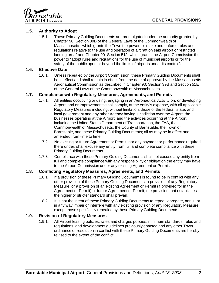

### **1.5. Authority to Adopt**

1.5.1. These Primary Guiding Documents are promulgated under the authority granted by Chapter 90: Section 39B of the General Laws of the Commonwealth of Massachusetts, which grants the Town the power to "make and enforce rules and regulations relative to the use and operation of aircraft on said airport or restricted landing area" and Chapter 90: Section 51J, which grants the Airport Commission the power to "adopt rules and regulations for the use of municipal airports or for the safety of the public upon or beyond the limits of airports under its control".

### **1.6. Effective Date**

1.6.1. Unless repealed by the Airport Commission, these Primary Guiding Documents shall be in effect and shall remain in effect from the date of approval by the Massachusetts Aeronautical Commission as described in Chapter 90: Section 39B and Section 51E of the General Laws of the Commonwealth of Massachusetts.

### **1.7. Compliance with Regulatory Measures, Agreements, and Permits**

- 1.7.1. All entities occupying or using, engaging in an Aeronautical Activity on, or developing Airport land or Improvements shall comply, at the entity's expense, with all applicable Regulatory Measures including, without limitation, those of the federal, state, and local government and any other Agency having jurisdiction over the Airport, the businesses operating at the Airport, and the activities occurring at the Airport including the United States Department of Transportation, the FAA, the Commonwealth of Massachusetts, the County of Barnstable, the Town of Barnstable, and these Primary Guiding Documents; all as may be in effect and amended from time to time.
- 1.7.2. No existing or future Agreement or Permit, nor any payment or performance required there under, shall excuse any entity from full and complete compliance with these Primary Guiding Documents.
- 1.7.3. Compliance with these Primary Guiding Documents shall not excuse any entity from full and complete compliance with any responsibility or obligation the entity may have to the Airport Commission under any existing Agreement or Permit.

### **1.8. Conflicting Regulatory Measures, Agreements, and Permits**

- 1.8.1. If a provision of these Primary Guiding Documents is found to be in conflict with any other provision of these Primary Guiding Documents, a provision of any Regulatory Measure, or a provision of an existing Agreement or Permit (if provided for in the Agreement or Permit) or future Agreement or Permit, the provision that establishes the higher or stricter standard shall prevail.
- 1.8.2. It is not the intent of these Primary Guiding Documents to repeal, abrogate, annul, or in any way impair or interfere with any existing provision of any Regulatory Measure except those specifically repealed by these Primary Guiding Documents.

#### **1.9. Revision of Regulatory Measures**

1.9.1. All Airport leasing policies, rates and charges policies, minimum standards, rules and regulations, and development guidelines previously enacted and any other Town ordinance or resolution in conflict with these Primary Guiding Documents are hereby revised to the extent of the conflict.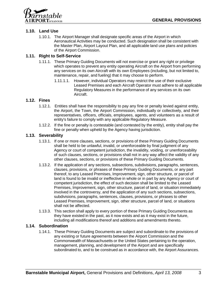

### **1.10. Land Use**

1.10.1. The Airport Manager shall designate specific areas of the Airport in which Aeronautical Activities may be conducted. Such designation shall be consistent with the Master Plan, Airport Layout Plan, and all applicable land use plans and policies of the Airport Commission.

### **1.11. Right to Self-Service**

- 1.11.1. These Primary Guiding Documents will not exercise or grant any right or privilege which operates to prevent any entity operating Aircraft on the Airport from performing any services on its own Aircraft with its own Employees (including, but not limited to, maintenance, repair, and fueling) that it may choose to perform.
	- 1.11.1.1. However, individual Operators may restrict the use of their exclusive Leased Premises and each Aircraft Operator must adhere to all applicable Regulatory Measures in the performance of any services on its own Aircraft.

### **1.12. Fines**

- 1.12.1. Entities shall have the responsibility to pay any fine or penalty levied against entity, the Airport, the Town, the Airport Commission, individually or collectively, and their representatives, officers, officials, employees, agents, and volunteers as a result of entity's failure to comply with any applicable Regulatory Measure.
- 1.12.2. If the fine or penalty is contestable (and contested by the entity), entity shall pay the fine or penalty when upheld by the Agency having jurisdiction.

#### **1.13. Severability**

- 1.13.1. If one or more clauses, sections, or provisions of these Primary Guiding Documents shall be held to be unlawful, invalid, or unenforceable by final judgment of any Agency or court of competent jurisdiction, the invalidity, voiding, or unenforceability of such clauses, sections, or provisions shall not in any way affect the validity of any other clauses, sections, or provisions of these Primary Guiding Documents.
- 1.13.2. If the application of any sections, subsections, subdivisions, paragraphs, sentences, clauses, provisions, or phrases of these Primary Guiding Documents, or any part thereof, to any Leased Premises, Improvement, sign, other structure, or parcel of land is found to be invalid or ineffective in whole or in part by any Agency or court of competent jurisdiction, the effect of such decision shall be limited to the Leased Premises, Improvement, sign, other structure, parcel of land, or situation immediately involved in the controversy, and the application of any such sections, subsections, subdivisions, paragraphs, sentences, clauses, provisions, or phrases to other Leased Premises, Improvement, sign, other structure, parcel of land, or situations shall not be affected.
- 1.13.3. This section shall apply to every portion of these Primary Guiding Documents as they have existed in the past, as it now exists and as it may exist in the future, including all modifications thereof and additions and amendments thereto.

### **1.14. Subordination**

1.14.1. These Primary Guiding Documents are subject and subordinate to the provisions of any existing or future agreements between the Airport Commission and the Commonwealth of Massachusetts or the United States pertaining to the operation, management, planning, and development of the Airport and are specifically subordinated to, and to be construed as in accordance with, the Airport Assurances.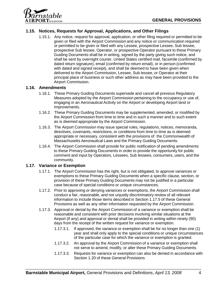nstable  $\mathbf{PORT}_{\text{\tiny{HYANNIS}}}$ 

### **1.15. Notices, Requests for Approval, Applications, and Other Filings**

1.15.1. Any notice, request for approval, application, or other filing required or permitted to be given or filed with the Airport Commission and any notice or communication required or permitted to be given or filed with any Lessee, prospective Lessee, Sub lessee, prospective Sub lessee, Operator, or prospective Operator pursuant to these Primary Guiding Documents shall be in writing, signed by the party giving such notice, and shall be sent by overnight courier, United States certified mail, facsimile (confirmed by dated return signature), email (confirmed by return email), or in person (confirmed with dated and signed receipt), and shall be deemed to have been given when delivered to the Airport Commission, Lessee, Sub lessee, or Operator at their principal place of business or such other address as may have been provided to the Airport Commission.

### **1.16. Amendments**

- 1.16.1. These Primary Guiding Documents supersede and cancel all previous Regulatory Measures adopted by the Airport Commission pertaining to the occupancy or use of, engaging in an Aeronautical Activity on the Airport or developing Airport land or Improvements.
- 1.16.2. These Primary Guiding Documents may be supplemented, amended, or modified by the Airport Commission from time to time and in such a manner and to such extent as is deemed appropriate by the Airport Commission.
- 1.16.3. The Airport Commission may issue special rules, regulations, notices, memoranda, directives, covenants, restrictions, or conditions from time to time as is deemed appropriate or necessary, consistent with the provisions of the Commonwealth of Massachusetts Aeronautical Laws and the Primary Guiding Documents.
- 1.16.4. The Airport Commission shall provide for public notification of pending amendments to these Primary Guiding Documents in order to provide the opportunity for public comment and input by Operators, Lessees, Sub lessees, consumers, users, and the community.

#### **1.17. Variance or Exemption**

- 1.17.1. The Airport Commission has the right, but is not obligated, to approve variances or exemptions to these Primary Guiding Documents when a specific clause, section, or provision of these Primary Guiding Documents may not be justified in a particular case because of special conditions or unique circumstances.
- 1.17.2. Prior to approving or denying variances or exemptions, the Airport Commission shall conduct a fair, reasonable, and not unjustly discriminatory review of all relevant information to include those items described in Section 1.17.5 of these General Provisions as well as any other information requested by the Airport Commission.
- 1.17.3. Approval or denial by the Airport Commission of a variance or exemption shall be reasonable and consistent with prior decisions involving similar situations at the Airport (if any) and approval or denial shall be provided in writing within ninety (90) days from the receipt of the written request for variance or exemption.
	- 1.17.3.1. If approved, the variance or exemption shall be for no longer than one (1) year and shall only apply to the special conditions or unique circumstances of the particular case for which the variance or exemption is granted.
	- 1.17.3.2. An approval by the Airport Commission of a variance or exemption shall not serve to amend, modify, or alter these Primary Guiding Documents.
	- 1.17.3.3. Requests for variance or exemption can also be denied in accordance with Section 1.20 of these General Provisions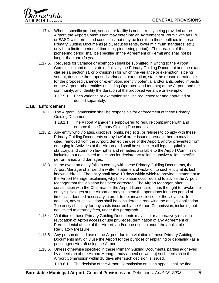

- 1.17.4. When a specific product, service, or facility is not currently being provided at the Airport, the Airport Commission may enter into an Agreement or Permit with an FBO or SASO with terms and conditions that may be less than those outlined in these Primary Guiding Documents (e.g., reduced rents, lower minimum standards, etc.), only for a limited period of time (i.e., pioneering period). The duration of the pioneering period shall be specified in the Agreement or Permit and shall not be longer than one (1) year.
- 1.17.5. Requests for variance or exemption shall be submitted in writing to the Airport Commission and must state definitively the Primary Guiding Document and the exact clause(s), section(s), or provision(s) for which the variance or exemption is being sought, describe the proposed variance or exemption, state the reason or rationale for the proposed variance or exemption, identify potential and/or anticipated impacts on the Airport, other entities (including Operators and tenants) at the Airport, and the community, and identify the duration of the proposed variance or exemption.
	- 1.17.5.1. Each variance or exemption shall be requested for and approved or denied separately.

### **1.18. Enforcement**

- 1.18.1. The Airport Commission shall be responsible for enforcement of these Primary Guiding Documents.
	- 1.18.1.1. The Airport Manager is empowered to require compliance with and enforce these Primary Guiding Documents.
- 1.18.2. Any entity who violates, disobeys, omits, neglects, or refuses to comply with these Primary Guiding Documents or any lawful order issued pursuant thereto may be cited, removed from the Airport, denied the use of the Airport, and/or prevented from engaging in Activities at the Airport and shall be subject to all legal, equitable, statutory, and common law rights and remedies available to the Airport Commission including, but not limited to, actions for declaratory relief, injunctive relief, specific performance, and damages.
- 1.18.3. In the event an entity fails to comply with these Primary Guiding Documents, the Airport Manager shall send a written statement of violation to such entity at its last known address. The entity shall have 10 days within which to provide a statement to the Airport Manager explaining why the violation occurred and to advise the Airport Manager that the violation has been corrected. The Airport Manager, after consultation with the Chairman of the Airport Commission, has the right to revoke the entity's privileges at the Airport or may suspend the operations for such period of time as is deemed necessary in order to obtain a correction of the violation. In addition, any such violations shall be considered in renewing the entity's application. The entity shall pay for any costs incurred by the Airport Commission, including but not limited to attorney fees, under this paragraph.
- 1.18.4. Violation of these Primary Guiding Documents may also or alternatively result in revocation of Apron access or use privileges, termination of any Agreement or Permit, denial of use of the Airport, and/or prosecution under the applicable Regulatory Measure.
- 1.18.5. Any person denied use of the Airport due to a violation of these Primary Guiding Documents may only use the Airport for the purpose of enplaning or deplaning (as a passenger) Aircraft using the Airport.
- 1.18.6. Unless otherwise specified in these Primary Guiding Documents, parties aggrieved by a decision of the Airport Manager may appeal (in writing) such decision to the Airport Commission within 10 days after such decision is issued.

1.18.6.1. The decision of the Airport Commission on such appeal shall be final.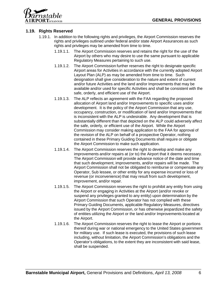

### **1.19. Rights Reserved**

- 1.19.1. In addition to the following rights and privileges, the Airport Commission reserves the rights and privileges outlined under federal and/or state Airport Assurances as such rights and privileges may be amended from time to time.
	- 1.19.1.1. The Airport Commission reserves and retains the right for the use of the Airport by others who may desire to use the same pursuant to applicable Regulatory Measures pertaining to such use.
	- 1.19.1.2. The Airport Commission further reserves the right to designate specific Airport areas for Activities in accordance with the currently adopted Airport Layout Plan (ALP) as may be amended from time to time. Such designation shall give consideration to the nature and extent of current and/or future Activities and the land and/or Improvements that may be available and/or used for specific Activities and shall be consistent with the safe, orderly, and efficient use of the Airport.
	- 1.19.1.3. The ALP reflects an agreement with the FAA regarding the proposed allocation of Airport land and/or Improvements to specific uses and/or development. It is the policy of the Airport Commission that any use, occupancy, construction, or modification of land and/or Improvements that is inconsistent with the ALP is undesirable. Any development that is substantially different than that depicted on the ALP could adversely affect the safe, orderly, or efficient use of the Airport. While the Airport Commission may consider making application to the FAA for approval of the revision of the ALP on behalf of a prospective Operator, nothing contained in these Primary Guiding Documents shall require or obligate the Airport Commission to make such application.
	- 1.19.1.4. The Airport Commission reserves the right to develop and make any improvements and/or repairs at (or to) the Airport that it deems necessary. The Airport Commission will provide advance notice of the date and time that such development, improvements, and/or repairs will be made. The Airport Commission shall not be obligated to reimburse or compensate any Operator, Sub lessee, or other entity for any expense incurred or loss of revenue (or inconvenience) that may result from such development, improvement, and/or repair.
	- 1.19.1.5. The Airport Commission reserves the right to prohibit any entity from using the Airport or engaging in Activities at the Airport (and/or revoke or suspend any privileges granted to any entity) upon determination by the Airport Commission that such Operator has not complied with these Primary Guiding Documents, applicable Regulatory Measures, directives issued by the Airport Commission, or has otherwise jeopardized the safety of entities utilizing the Airport or the land and/or Improvements located at the Airport.
	- 1.19.1.6. The Airport Commission reserves the right to lease the Airport or portions thereof during war or national emergency to the United States government for military use. If such lease is executed, the provisions of such lease including, without limitation, the Airport Commission's obligations and the Operator's obligations, to the extent they are inconsistent with said lease, shall be suspended.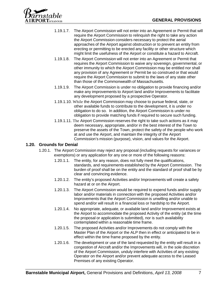

- 1.19.1.7. The Airport Commission will not enter into an Agreement or Permit that will require the Airport Commission to relinquish the right to take any action the Airport Commission considers necessary to protect the aerial approaches of the Airport against obstruction or to prevent an entity from erecting or permitting to be erected any facility or other structure which might limit the usefulness of the Airport or constitute a hazard to Aircraft.
- 1.19.1.8. The Airport Commission will not enter into an Agreement or Permit that requires the Airport Commission to waive any sovereign, governmental, or other immunity to which the Airport Commission may be entitled nor shall any provision of any Agreement or Permit be so construed or that would require the Airport Commission to submit to the laws of any state other than those of the Commonwealth of Massachusetts.
- 1.19.1.9. The Airport Commission is under no obligation to provide financing and/or make any improvements to Airport land and/or Improvements to facilitate any development proposed by a prospective Operator.
- 1.19.1.10. While the Airport Commission may choose to pursue federal, state, or other available funds to contribute to the development, it is under no obligation to do so. In addition, the Airport Commission is under no obligation to provide matching funds if required to secure such funding.
- 1.19.1.11. The Airport Commission reserves the right to take such actions as it may deem necessary, appropriate, and/or in the best interest of the Town to preserve the assets of the Town, protect the safety of the people who work at and use the Airport, and maintain the integrity of the Airport Commission's mission (purpose), vision, and values for the Airport.

### **1.20. Grounds for Denial**

- 1.20.1. The Airport Commission may reject any proposal (including requests for variances or exemptions) or any application for any one or more of the following reasons:
	- 1.20.1.1. The entity, for any reason, does not fully meet the qualifications, standards, and requirements established by the Airport Commission. The burden of proof shall be on the entity and the standard of proof shall be by clear and convincing evidence.
	- 1.20.1.2. The entity's proposed Activities and/or Improvements will create a safety hazard at or on the Airport.
	- 1.20.1.3. The Airport Commission would be required to expend funds and/or supply labor and/or materials in connection with the proposed Activities and/or Improvements that the Airport Commission is unwilling and/or unable to spend and/or will result in a financial loss or hardship to the Airport.
	- 1.20.1.4. No appropriate, adequate, or available land and/or Improvement exists at the Airport to accommodate the proposed Activity of the entity (at the time the proposal or application is submitted), nor is such availability contemplated within a reasonable time frame.
	- 1.20.1.5. The proposed Activities and/or Improvements do not comply with the Master Plan of the Airport or the ALP then in effect or anticipated to be in effect within the time frame proposed by the entity.
	- 1.20.1.6. The development or use of the land requested by the entity will result in a congestion of Aircraft and/or the Improvements will, in the sole discretion of the Airport Commission, unduly interfere with Activities of any existing Operator on the Airport and/or prevent adequate access to the Leased Premises of any existing Operator.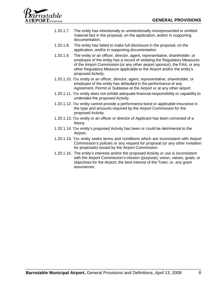

- 1.20.1.7. The entity has intentionally or unintentionally misrepresented or omitted material fact in the proposal, on the application, and/or in supporting documentation.
- 1.20.1.8. The entity has failed to make full disclosure in the proposal, on the application, and/or in supporting documentation.
- 1.20.1.9. The entity or an officer, director, agent, representative, shareholder, or employee of the entity has a record of violating the Regulatory Measures of the Airport Commission (or any other airport sponsor), the FAA, or any other Regulatory Measure applicable to the Airport and/or the entity's proposed Activity.
- 1.20.1.10. The entity or an officer, director, agent, representative, shareholder, or employee of the entity has defaulted in the performance of any Agreement, Permit or Sublease at the Airport or at any other airport.
- 1.20.1.11. The entity does not exhibit adequate financial responsibility or capability to undertake the proposed Activity.
- 1.20.1.12. The entity cannot provide a performance bond or applicable insurance in the type and amounts required by the Airport Commission for the proposed Activity.
- 1.20.1.13. The entity or an officer or director of Applicant has been convicted of a felony.
- 1.20.1.14. The entity's proposed Activity has been or could be detrimental to the Airport.
- 1.20.1.15. The entity seeks terms and conditions which are inconsistent with Airport Commission's policies or any request for proposal (or any other invitation for proposals) issued by the Airport Commission.
- 1.20.1.16. The entity's interests and/or the proposed Activity or use is inconsistent with the Airport Commission's mission (purpose), vision, values, goals, or objectives for the Airport; the best interest of the Town; or, any grant assurances.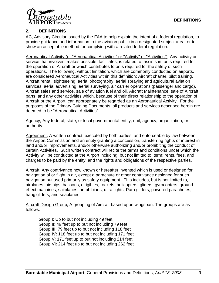

### **2. DEFINITIONS**

AC, Advisory Circular issued by the FAA to help explain the intent of a federal regulation, to provide guidance and information to the aviation public in a designated subject area, or to show an acceptable method for complying with a related federal regulation.

Aeronautical Activity (or "Aeronautical Activities" or "Activity" or "Activities"), Any activity or service that involves, makes possible, facilitates, is related to, assists in, or is required for the operation of Aircraft or which contributes to or is required for the safety of such operations. The following, without limitation, which are commonly conducted on airports, are considered Aeronautical Activities within this definition: Aircraft charter, pilot training, Aircraft rental, sightseeing, aerial photography, aerial spraying and agricultural aviation services, aerial advertising, aerial surveying, air carrier operations (passenger and cargo), Aircraft sales and service, sale of aviation fuel and oil, Aircraft Maintenance, sale of Aircraft parts, and any other activities which, because of their direct relationship to the operation of Aircraft or the Airport, can appropriately be regarded as an Aeronautical Activity. For the purposes of the Primary Guiding Documents, all products and services described herein are deemed to be "Aeronautical Activities".

Agency, Any federal, state, or local governmental entity, unit, agency, organization, or authority.

Agreement, A written contract, executed by both parties, and enforceable by law between the Airport Commission and an entity granting a concession, transferring rights or interest in land and/or Improvements, and/or otherwise authorizing and/or prohibiting the conduct of certain Activities. Such written contract will recite the terms and conditions under which the Activity will be conducted at the Airport including, but not limited to, term; rents, fees, and charges to be paid by the entity; and the rights and obligations of the respective parties.

Aircraft, Any contrivance now known or hereafter invented which is used or designed for navigation of or flight in air, except a parachute or other contrivance designed for such navigation but used primarily as safety equipment. This includes, but is not limited to, airplanes, airships, balloons, dirigibles, rockets, helicopters, gliders, gyrocopters, groundeffect machines, sailplanes, amphibians, ultra lights, Para gliders, powered parachutes, hang gliders, and seaplanes.

Aircraft Design Group, A grouping of Aircraft based upon wingspan. The groups are as follows:

Group I: Up to but not including 49 feet. Group II: 49 feet up to but not including 79 feet Group III: 79 feet up to but not including 118 feet Group IV: 118 feet up to but not including 171 feet Group V: 171 feet up to but not including 214 feet Group VI: 214 feet up to but not including 262 feet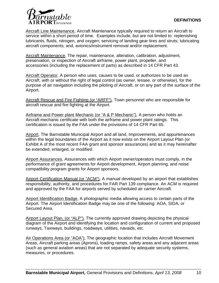

Aircraft Line Maintenance, Aircraft Maintenance typically required to return an Aircraft to service within a short period of time. Examples include, but are not limited to: replenishing lubricants, fluids, nitrogen, and oxygen; servicing of landing gear tires and struts; lubricating aircraft components; and, avionics/instrument removal and/or replacement.

Aircraft Maintenance, The repair, maintenance, alteration, calibration, adjustment, preservation, or inspection of Aircraft airframe, power plant, propeller, and accessories (including the replacement of parts) as described in 14 CFR Part 43.

Aircraft Operator, A person who uses, causes to be used, or authorizes to be used an Aircraft, with or without the right of legal control (as owner, lessee, or otherwise), for the purpose of air navigation including the piloting of Aircraft, or on any part of the surface of the Airport.

Aircraft Rescue and Fire Fighting (or "ARFF"), Town personnel who are responsible for aircraft rescue and fire fighting at the Airport.

Airframe and Power plant Mechanic (or "A & P Mechanic"), A person who holds an Aircraft mechanic certificate with both the airframe and power plant ratings. This certification is issued by the FAA under the provisions of 14 CFR Part 65.

Airport, The Barnstable Municipal Airport and all land, Improvements, and appurtenances within the legal boundaries of the Airport as it now exists on the Airport Layout Plan (or Exhibit A of the most recent FAA grant and sponsor assurances) and as it may hereinafter be extended, enlarged, or modified.

Airport Assurances, Assurances with which Airport owner/operators must comply, in the performance of grant agreements for Airport development, Airport planning, and noise compatibility program grants for Airport sponsors.

Airport Certification Manual (or "ACM"), A manual developed by an airport that establishes responsibility, authority, and procedures for FAR Part 139 compliance. An ACM is required and approved by the FAA for airports served by scheduled air carrier Aircraft.

Airport Identification Badge, A photographic media allowing access to certain parts of the Airport. The Airport Identification Badge may be one of the following: AOA, SIDA, or Secured Area.

Airport Layout Plan, (or "ALP"), The currently approved drawing depicting the physical diagram of the Airport and identifying the location and configuration of current and proposed runways, Taxiways, buildings, roadways, utilities, navaids, etc.

Air Operations Area (or "AOA"), The geographic location that includes Aircraft Movement Areas, Aircraft parking areas (Aprons), loading ramps, safety areas and any adjacent areas (such as general aviation areas) that are not separated by adequate security systems, measures, or procedures.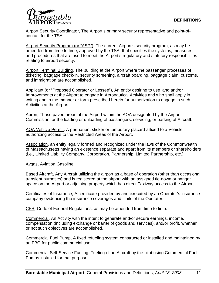

Airport Security Coordinator, The Airport's primary security representative and point-ofcontact for the TSA.

Airport Security Program (or "ASP"), The current Airport's security program, as may be amended from time to time, approved by the TSA, that specifies the systems, measures, and procedures that are used to meet the Airport's regulatory and statutory responsibilities relating to airport security.

Airport Terminal Building, The building at the Airport where the passenger processes of ticketing, baggage check-in, security screening, aircraft boarding, baggage claim, customs, and immigration are accomplished.

Applicant (or "Proposed Operator or Lessee"), An entity desiring to use land and/or Improvements at the Airport to engage in Aeronautical Activities and who shall apply in writing and in the manner or form prescribed herein for authorization to engage in such Activities at the Airport.

Apron, Those paved areas of the Airport within the AOA designated by the Airport Commission for the loading or unloading of passengers, servicing, or parking of Aircraft.

AOA Vehicle Permit, A permanent sticker or temporary placard affixed to a Vehicle authorizing access to the Restricted Areas of the Airport.

Association, an entity legally formed and recognized under the laws of the Commonwealth of Massachusetts having an existence separate and apart from its members or shareholders (i.e., Limited Liability Company, Corporation, Partnership, Limited Partnership, etc.).

Avgas, Aviation Gasoline

Based Aircraft, Any Aircraft utilizing the airport as a base of operation (other than occasional transient purposes) and is registered at the airport with an assigned tie-down or hangar space on the Airport or adjoining property which has direct Taxiway access to the Airport.

Certificates of Insurance, A certificate provided by and executed by an Operator's insurance company evidencing the insurance coverages and limits of the Operator.

CFR, Code of Federal Regulations, as may be amended from time to time.

Commercial, An Activity with the intent to generate and/or secure earnings, income, compensation (including exchange or barter of goods and services), and/or profit, whether or not such objectives are accomplished.

Commercial Fuel Pump, A fixed refueling system constructed or installed and maintained by an FBO for public commercial use.

Commercial Self-Service Fueling, Fueling of an Aircraft by the pilot using Commercial Fuel Pumps installed for that purpose.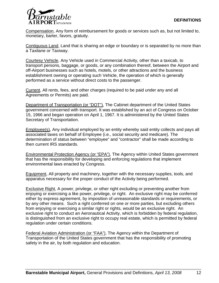

Compensation, Any form of reimbursement for goods or services such as, but not limited to, monetary, barter, favors, gratuity.

Contiguous Land, Land that is sharing an edge or boundary or is separated by no more than a Taxilane or Taxiway.

Courtesy Vehicle, Any Vehicle used in Commercial Activity, other than a taxicab, to transport persons, baggage, or goods, or any combination thereof, between the Airport and off-Airport businesses such as hotels, motels, or other attractions and the business establishment owning or operating such Vehicle, the operation of which is generally performed as a service without direct costs to the passenger.

Current, All rents, fees, and other charges (required to be paid under any and all Agreements or Permits) are paid.

Department of Transportation (or "DOT"), The Cabinet department of the United States government concerned with transport. It was established by an act of Congress on October 15, 1966 and began operation on April 1, 1967. It is administered by the United States Secretary of Transportation.

Employee(s), Any individual employed by an entity whereby said entity collects and pays all associated taxes on behalf of Employee (i.e., social security and medicare). The determination of status between "employee" and "contractor" shall be made according to then current IRS standards.

Environmental Protection Agency (or "EPA"), The Agency within United States government that has the responsibility for developing and enforcing regulations that implement environmental laws enacted by Congress.

Equipment, All property and machinery, together with the necessary supplies, tools, and apparatus necessary for the proper conduct of the Activity being performed.

Exclusive Right, A power, privilege, or other right excluding or preventing another from enjoying or exercising a like power, privilege, or right. An exclusive right may be conferred either by express agreement, by imposition of unreasonable standards or requirements, or by any other means. Such a right conferred on one or more parties, but excluding others from enjoying or exercising a similar right or rights, would be an exclusive right. An exclusive right to conduct an Aeronautical Activity, which is forbidden by federal regulation, is distinguished from an exclusive right to occupy real estate, which is permitted by federal regulation under certain conditions.

Federal Aviation Administration (or "FAA"), The Agency within the Department of Transportation of the United States government that has the responsibility of promoting safety in the air, by both regulation and education.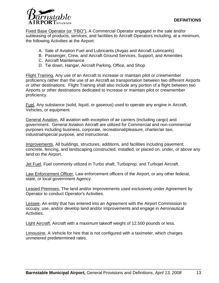

Fixed Base Operator (or "FBO"), A Commercial Operator engaged in the sale and/or subleasing of products, services, and facilities to Aircraft Operators including, at a minimum, the following Activities at the Airport:

- A. Sale of Aviation Fuel and Lubricants (Avgas and Aircraft Lubricants)
- B. Passenger, Crew, and Aircraft Ground Services, Support, and Amenities
- C. Aircraft Maintenance
- D. Tie down, Hangar, Aircraft Parking, Office, and Shop

Flight Training, Any use of an Aircraft to increase or maintain pilot or crewmember proficiency rather than the use of an Aircraft as transportation between two different Airports or other destinations. Flight Training shall also include any portion of a flight between two Airports or other destinations dedicated to increase or maintain pilot or crewmember proficiency.

Fuel, Any substance (solid, liquid, or gaseous) used to operate any engine in Aircraft, Vehicles, or equipment.

General Aviation, All aviation with exception of air carriers (including cargo) and government. General Aviation Aircraft are utilized for Commercial and non-commercial purposes including business, corporate, recreational/pleasure, charter/air taxi, industrial/special purpose, and instructional.

Improvements, All buildings, structures, additions, and facilities including pavement, concrete, fencing, and landscaping constructed, installed, or placed on, under, or above any land on the Airport.

Jet Fuel, Fuel commonly utilized in Turbo shaft, Turboprop, and Turbojet Aircraft.

Law Enforcement Officer, Law enforcement officers of the Airport, or any other federal, state, or local government Agency.

Leased Premises, The land and/or Improvements used exclusively under Agreement by Operator to conduct Operator's Activities.

Lessee, An entity that has entered into an Agreement with the Airport Commission to occupy, use, and/or develop land and/or Improvements and engage in Aeronautical Activities.

Light Aircraft, Aircraft with a maximum takeoff weight of 12,500 pounds or less.

Limousine, A Vehicle for hire that is not configured with a taximeter, which charges unmetered predetermined rates.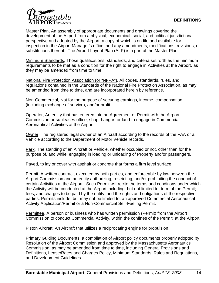

Master Plan, An assembly of appropriate documents and drawings covering the development of the Airport from a physical, economical, social, and political jurisdictional perspective and adopted by the Airport, a copy of which is on file and available for inspection in the Airport Manager's office, and any amendments, modifications, revisions, or substitutions thereof. The Airport Layout Plan (ALP) is a part of the Master Plan.

Minimum Standards, Those qualifications, standards, and criteria set forth as the minimum requirements to be met as a condition for the right to engage in Activities at the Airport, as they may be amended from time to time.

National Fire Protection Association (or "NFPA"), All codes, standards, rules, and regulations contained in the Standards of the National Fire Protection Association, as may be amended from time to time, and are incorporated herein by reference.

Non-Commercial, Not for the purpose of securing earnings, income, compensation (including exchange of service), and/or profit.

Operator, An entity that has entered into an Agreement or Permit with the Airport Commission or subleases office, shop, hangar, or land to engage in Commercial Aeronautical Activities at the Airport.

Owner, The registered legal owner of an Aircraft according to the records of the FAA or a Vehicle according to the Department of Motor Vehicle records.

Park, The standing of an Aircraft or Vehicle, whether occupied or not, other than for the purpose of, and while, engaging in loading or unloading of Property and/or passengers.

Paved, to lay or cover with asphalt or concrete that forms a firm level surface.

Permit, A written contract, executed by both parties, and enforceable by law between the Airport Commission and an entity authorizing, restricting, and/or prohibiting the conduct of certain Activities at the Airport. Such Permit will recite the terms and conditions under which the Activity will be conducted at the Airport including, but not limited to, term of the Permit; fees, and charges to be paid by the entity; and the rights and obligations of the respective parties. Permits include, but may not be limited to, an approved Commercial Aeronautical Activity Application/Permit or a Non-Commercial Self-Fueling Permit.

Permittee, A person or business who has written permission (Permit) from the Airport Commission to conduct Commercial Activity, within the confines of the Permit, at the Airport.

Piston Aircraft, An Aircraft that utilizes a reciprocating engine for propulsion.

Primary Guiding Documents, a compilation of Airport policy documents properly adopted by Resolution of the Airport Commission and approved by the Massachusetts Aeronautics Commission, as may be amended from time to time, including General Provisions and Definitions, Lease/Rates and Charges Policy, Minimum Standards, Rules and Regulations, and Development Guidelines.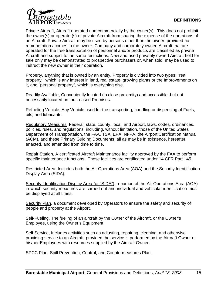

Private Aircraft, Aircraft operated non-commercially by the owner(s). This does not prohibit the owner(s) or operator(s) of private Aircraft from sharing the expense of the operations of an Aircraft. Private Aircraft may be used by persons other than the owner, provided no remuneration accrues to the owner. Company and corporately owned Aircraft that are operated for the free transportation of personnel and/or products are classified as private Aircraft and subject to the same restrictions. New and used privately owned Aircraft held for sale only may be demonstrated to prospective purchasers or, when sold, may be used to instruct the new owner in their operation.

Property, anything that is owned by an entity. Property is divided into two types: "real property," which is any interest in land, real estate, growing plants or the Improvements on it, and "personal property", which is everything else.

Readily Available, Conveniently located (in close proximity) and accessible, but not necessarily located on the Leased Premises.

Refueling Vehicle, Any Vehicle used for the transporting, handling or dispensing of Fuels, oils, and lubricants.

Regulatory Measures, Federal, state, county, local, and Airport, laws, codes, ordinances, policies, rules, and regulations, including, without limitation, those of the United States Department of Transportation, the FAA, TSA, EPA, NFPA, the Airport Certification Manual (ACM), and these Primary Guiding Documents; all as may be in existence, hereafter enacted, and amended from time to time.

Repair Station, A certificated Aircraft Maintenance facility approved by the FAA to perform specific maintenance functions. These facilities are certificated under 14 CFR Part 145.

Restricted Area, Includes both the Air Operations Area (AOA) and the Security Identification Display Area (SIDA).

Security Identification Display Area (or "SIDA"), a portion of the Air Operations Area (AOA) in which security measures are carried out and individual and vehicular identification must be displayed at all times.

Security Plan, a document developed by Operators to ensure the safety and security of people and property at the Airport.

Self-Fueling, The fueling of an aircraft by the Owner of the Aircraft, or the Owner's Employee, using the Owner's Equipment.

Self Service, Includes activities such as adjusting, repairing, cleaning, and otherwise providing service to an Aircraft, provided the service is performed by the Aircraft Owner or his/her Employees with resources supplied by the Aircraft Owner.

SPCC Plan, Spill Prevention, Control, and Countermeasures Plan.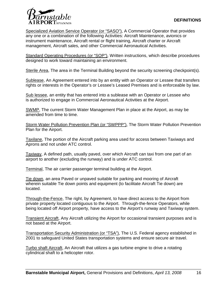

Specialized Aviation Service Operator (or "SASO"), A Commercial Operator that provides any one or a combination of the following Activities: Aircraft Maintenance, avionics or instrument maintenance, Aircraft rental or flight training, Aircraft charter or Aircraft management, Aircraft sales, and other Commercial Aeronautical Activities.

Standard Operating Procedures (or "SOP"), Written instructions, which describe procedures designed to work toward maintaining an environment.

Sterile Area, The area in the Terminal Building beyond the security screening checkpoint(s).

Sublease, An Agreement entered into by an entity with an Operator or Lessee that transfers rights or interests in the Operator's or Lessee's Leased Premises and is enforceable by law.

Sub lessee, an entity that has entered into a sublease with an Operator or Lessee who is authorized to engage in Commercial Aeronautical Activities at the Airport.

SWMP, The current Storm Water Management Plan in place at the Airport, as may be amended from time to time.

Storm Water Pollution Prevention Plan (or "SWPPP"), The Storm Water Pollution Prevention Plan for the Airport.

Taxilane, The portion of the Aircraft parking area used for access between Taxiways and Aprons and not under ATC control.

Taxiway, A defined path, usually paved, over which Aircraft can taxi from one part of an airport to another (excluding the runway) and is under ATC control.

Terminal, The air carrier passenger terminal building at the Airport.

Tie down, an area Paved or unpaved suitable for parking and mooring of Aircraft wherein suitable Tie down points and equipment (to facilitate Aircraft Tie down) are located.

Through-the-Fence, The right, by Agreement, to have direct access to the Airport from private property located contiguous to the Airport. Through-the-fence Operators, while being located off Airport property, have access to the Airport's runway and Taxiway system.

Transient Aircraft, Any Aircraft utilizing the Airport for occasional transient purposes and is not based at the Airport.

Transportation Security Administration (or "TSA"), The U.S. Federal agency established in 2001 to safeguard United States transportation systems and ensure secure air travel.

Turbo shaft Aircraft, An Aircraft that utilizes a gas turbine engine to drive a rotating cylindrical shaft to a helicopter rotor.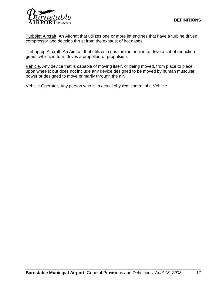

Turbojet Aircraft, An Aircraft that utilizes one or more jet engines that have a turbine driven compressor and develop thrust from the exhaust of hot gases.

Turboprop Aircraft, An Aircraft that utilizes a gas turbine engine to drive a set of reduction gears, which, in turn, drives a propeller for propulsion.

Vehicle, Any device that is capable of moving itself, or being moved, from place to place upon wheels; but does not include any device designed to be moved by human muscular power or designed to move primarily through the air.

Vehicle Operator, Any person who is in actual physical control of a Vehicle.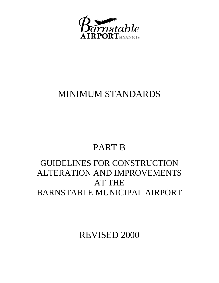

### MINIMUM STANDARDS

# PART B

### GUIDELINES FOR CONSTRUCTION ALTERATION AND IMPROVEMENTS AT THE BARNSTABLE MUNICIPAL AIRPORT

REVISED 2000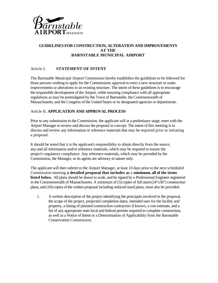

### Article I. **STATEMENT OF INTENT**

The Barnstable Municipal Airport Commission hereby establishes the guidelines to be followed for those persons wishing to apply for the Commissions approval to erect a new structure or make improvements or alterations to an existing structure. The intent of these guidelines is to encourage the responsible development of the Airport, while ensuring compliance with all appropriate regulations as may be promulgated by the Town of Barnstable, the Commonwealth of Massachusetts, and the Congress of the United States or its designated agencies or departments.

#### Article II. **APPLICATION AND APPROVAL PROCESS**

Prior to any submission to the Commission, the applicant will at a preliminary stage, meet with the Airport Manager to review and discuss the proposal in concept. The intent of this meeting is to discuss and review any information or reference materials that may be required prior to initiating a proposal.

It should be noted that it is the applicant's responsibility to obtain directly from the source, any and all information and/or reference materials, which may be required to ensure the project's regulatory compliance. Any reference materials, which may be provided by the Commission, the Manager, or its agents are advisory in nature only.

The applicant will then submit to the Airport Manager, at least 10 days prior to the next scheduled Commission meeting **a detailed proposal that includes as** a **minimum, all of the items listed below.** All plans should be drawn to scale, and be signed by a Professional Engineer registered in the Commonwealth of Massachusetts. A minimum of (3) copies of full sized (24"x36") construction plans, and (10) copies of the written proposal including reduced sized plans, must also be provided.

1. A written description of the project identifying the principals involved in the proposal, the scope of the project, projected completion dates, intended uses for the facility and property, a listing of planned construction contractors if known, a cost estimate, and a list of any appropriate state local and federal permits required to complete construction, as well as a Notice of Intent or a Determination of Applicability from the Barnstable Conservation Commission.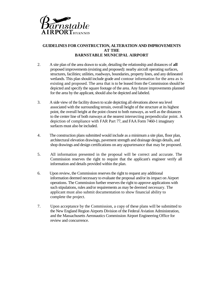

- 2. A site plan of the area drawn to scale, detailing the relationship and distances of **all**  proposed improvements (existing and proposed): nearby aircraft operating surfaces, structures, facilities; utilities, roadways, boundaries, property lines, and any delineated wetlands. This plan should include grade and contour information for the area as is existing and proposed. The area that is to be leased from the Commission should be depicted and specify the square footage of the area. Any future improvements planned for the area by the applicant, should also be depicted and labeled.
- 3. A side view of the facility drawn to scale depicting all elevations above sea level associated with the surrounding terrain, overall height of the structure at its highest point, the overall height at the point closest to both runways, as well as the distances to the center line of both runways at the nearest intersecting perpendicular point. A depiction of compliance with FAR Part 77, and FAA Form 7460-1 imaginary surfaces must also be included.
- 4. The construction plans submitted would include as a minimum a site plan, floor plan, architectural elevation drawings, pavement strength and drainage design details, and shop drawings and design certifications on any appurtenance that may be proposed.
- 5. All information presented in the proposal will be correct and accurate. The Commission reserves the right to require that the applicant's engineer verify all information and details provided within the plan.
- 6. Upon review, the Commission reserves the right to request any additional information deemed necessary to evaluate the proposal and/or its impact on Airport operations. The Commission further reserves the right to approve applications with such stipulations, rules and/or requirements as may be deemed necessary. The applicant must also submit documentation to show financial ability to complete the project.
- 7. Upon acceptance by the Commission, a copy of these plans will be submitted to the New England Region Airports Division of the Federal Aviation Administration, and the Massachusetts Aeronautics Commission Airport Engineering Office for review and concurrence.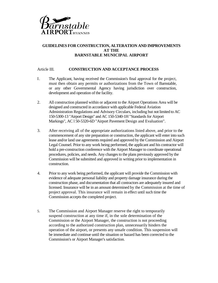

#### Article III. **CONSTRUCTION AND ACCEPTANCE PROCESS**

- I. The Applicant, having received the Commission's final approval for the project, must then obtain any permits or authorizations from the Town of Barnstable, or any other Governmental Agency having jurisdiction over construction, development and operation of the facility.
- 2. All construction planned within or adjacent to the Airport Operations Area will be designed and constructed in accordance with applicable Federal Aviation Administration Regulations and Advisory Circulars, including but not limited to AC 150-5300-13 "Airport Design" and AC 150-5340-1H "Standards for Airport Markings", AC l 50-5320-6D "Airport Pavement Design and Evaluation".
- 3. After receiving all of the appropriate authorizations listed above, and prior to the commencement of any site preparation or construction, the applicant will enter into such lease and/or land use agreements required and approved by the Commission and Airport Legal Counsel. Prior to any work being performed, the applicant and his contractor will hold a pre-construction conference with the Airport Manager to coordinate operational procedures, policies, and needs. Any changes to the plans previously approved by the Commission will be submitted and approved in writing prior to implementation in construction.
- 4. Prior to any work being performed, the applicant will provide the Commission with evidence of adequate personal liability and property damage insurance during the construction phase, and documentation that all contractors are adequately insured and licensed. Insurance will be in an amount determined by the Commission at the time of project approval. This insurance will remain in effect until such time the Commission accepts the completed project.
- 5. The Commission and Airport Manager reserve the right to temporarily suspend construction at any time if, in the sole determination of the Commission or the Airport Manager, the construction is not proceeding according to the authorized construction plan, unnecessarily hinders the operation of the airport, or presents any unsafe condition. This suspension will be immediate and continue until the situation or hazard has been corrected to the Commission's or Airport Manager's satisfaction.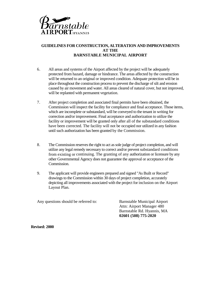

- 6. All areas and systems of the Airport affected by the project will be adequately protected from hazard, damage or hindrance. The areas affected by the construction will be returned to an original or improved condition. Adequate protection will be in place throughout the construction process to prevent the discharge of silt and erosion caused by air movement and water. All areas cleared of natural cover, but not improved, will be replanted with permanent vegetation.
- 7. After project completion and associated final permits have been obtained, the Commission will inspect the facility for compliance and final acceptance. Those items, which are incomplete or substandard, will be conveyed to the tenant in writing for correction and/or improvement. Final acceptance and authorization to utilize the facility or improvement will be granted only after all of the substandard conditions have been corrected. The facility will not be occupied nor utilized in any fashion until such authorization has been granted by the Commission.
- 8. The Commission reserves the right to act as sole judge of project completion, and will utilize any legal remedy necessary to correct and/or prevent substandard conditions from existing or continuing. The granting of any authorization or licensure by any other Governmental Agency does not guarantee the approval or acceptance of the Commission.
- 9. The applicant will provide engineers prepared and signed "As Built or Record" drawings to the Commission within 30 days of project completion, accurately depicting all improvements associated with the project for inclusion on the Airport Layout Plan.

Any questions should be referred to: Barnstable Municipal Airport

Attn: Airport Manager 480 Barnstable Rd. Hyannis, MA **02601 (508) 775-2020**

**Revised: 2000**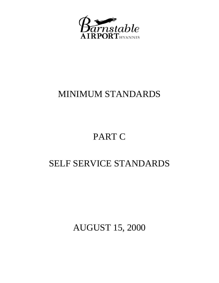

### MINIMUM STANDARDS

# PART C

### SELF SERVICE STANDARDS

AUGUST 15, 2000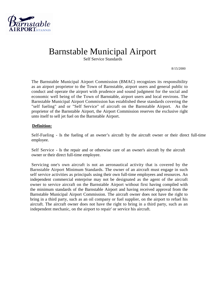

### Barnstable Municipal Airport

Self Service Standards

8/15/2000

The Barnstable Municipal Airport Commission (BMAC) recognizes its responsibility as an airport proprietor to the Town of Barnstable, airport users and general public to conduct and operate the airport with prudence and sound judgment for the social and economic well being of the Town of Barnstable, airport users and local environs. The Barnstable Municipal Airport Commission has established these standards covering the "self fueling" and or "Self Service" of aircraft on the Barnstable Airport. As the proprietor of the Barnstable Airport, the Airport Commission reserves the exclusive right unto itself to sell jet fuel on the Barnstable Airport.

#### **Definition:**

Self-Fueling - Is the fueling of an owner's aircraft by the aircraft owner or their direct full-time employee.

Self Service - Is the repair and or otherwise care of an owner's aircraft by the aircraft owner or their direct full-time employee.

Servicing one's own aircraft is not an aeronautical activity that is covered by the Barnstable Airport Minimum Standards. The owner of an aircraft must engage in such self service activities as principals using their own full-time employees and resources. An independent commercial enterprise may not be designated as the agent of the aircraft owner to service aircraft on the Barnstable Airport without first having compiled with the minimum standards of the Barnstable Airport and having received approval from the Barnstable Municipal Airport Commission. The aircraft owner does not have the right to bring in a third party, such as an oil company or fuel supplier, on the airport to refuel his aircraft. The aircraft owner does not have the right to bring in a third party, such as an independent mechanic, on the airport to repair' or service his aircraft.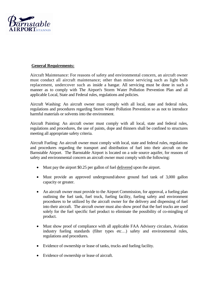

### **General Requirements:**

Aircraft Maintenance: For reasons of safety and environmental concern, an aircraft owner must conduct all aircraft maintenance; other than minor servicing such as light bulb replacement, undercover such as inside a hangar. All servicing must be done in such a manner as to comply with The Airport's Storm Water Pollution Prevention Plan and all applicable Local, State and Federal rules, regulations and policies.

Aircraft Washing: An aircraft owner must comply with all local, state and federal rules, regulations and procedures regarding Storm Water Pollution Prevention so as not to introduce harmful materials or solvents into the environment.

Aircraft Painting: An aircraft owner must comply with all local, state and federal rules, regulations and procedures, the use of paints, dope and thinners shall be confined to structures meeting all appropriate safety criteria.

Aircraft Fueling: An aircraft owner must comply with local, state and federal rules, regulations and procedures regarding the transport and distribution of fuel into their aircraft on the Barnstable Airport. The Barnstable Airport is located on a sole source aquifer, for reasons of safety and environmental concern an aircraft owner must comply with the following:

- Must pay the airport \$0.25 per gallon of fuel delivered upon the airport.
- Must provide an approved underground/above ground fuel tank of 3,000 gallon capacity or greater.
- An aircraft owner must provide to the Airport Commission, for approval, a fueling plan outlining the fuel tank, fuel truck, fueling facility, fueling safety and environment procedures to be utilized by the aircraft owner for the delivery and dispensing of fuel into their aircraft. The aircraft owner must also show proof that the fuel trucks are used solely for the fuel specific fuel product to eliminate the possibility of co-mingling of product.
- Must show proof of compliance with all applicable FAA Advisory circulars, Aviation industry fueling standards (filter types etc…) safety and environmental rules, regulations and procedures.
- Evidence of ownership or lease of tanks, trucks and fueling facility.
- Evidence of ownership or lease of aircraft.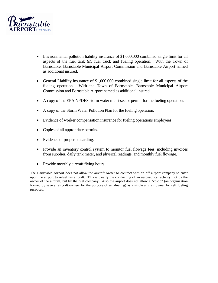

- Environmental pollution liability insurance of \$1,000,000 combined single limit for all aspects of the fuel tank (s), fuel truck and fueling operation. With the Town of Barnstable, Barnstable Municipal Airport Commission and Barnstable Airport named as additional insured.
- General Liability insurance of \$1,000,000 combined single limit for all aspects of the fueling operation. With the Town of Barnstable, Barnstable Municipal Airport Commission and Barnstable Airport named as additional insured.
- A copy of the EPA NPDES storm water multi-sector permit for the fueling operation.
- A copy of the Storm Water Pollution Plan for the fueling operation.
- Evidence of worker compensation insurance for fueling operations employees.
- Copies of all appropriate permits.
- Evidence of proper placarding.
- Provide an inventory control system to monitor fuel flowage fees, including invoices from supplier, daily tank meter, and physical readings, and monthly fuel flowage.
- Provide monthly aircraft flying hours.

The Barnstable Airport does not allow the aircraft owner to contract with an off airport company to enter upon the airport to refuel his aircraft. This is clearly the conducting of an aeronautical activity, not by the owner of the aircraft, but by the fuel company. Also the airport does not allow a "co-op" (an organization formed by several aircraft owners for the purpose of self-fueling) as a single aircraft owner for self fueling purposes.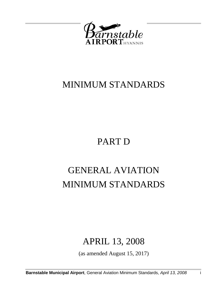

### MINIMUM STANDARDS

# PART D

# GENERAL AVIATION MINIMUM STANDARDS

### APRIL 13, 2008

(as amended August 15, 2017)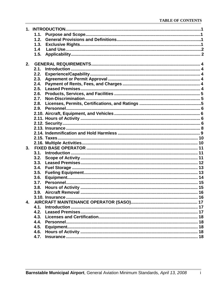|    | 1.1. |  |
|----|------|--|
|    | 1.2. |  |
|    | 1.3. |  |
|    | 1.4  |  |
|    | 1.5. |  |
|    |      |  |
| 2. |      |  |
|    | 2.1. |  |
|    | 2.2. |  |
|    | 2.3. |  |
|    | 2.4. |  |
|    | 2.5. |  |
|    | 2.6. |  |
|    | 2.7. |  |
|    | 2.8. |  |
|    | 2.9. |  |
|    |      |  |
|    |      |  |
|    |      |  |
|    |      |  |
|    |      |  |
|    |      |  |
|    |      |  |
| 3. |      |  |
|    | 3.1. |  |
|    | 3.2. |  |
|    |      |  |
|    | 3.4. |  |
|    | 3.5. |  |
|    | 3.6. |  |
|    | 3.7. |  |
|    | 3.8. |  |
|    | 3.9. |  |
|    |      |  |
| 4. |      |  |
|    | 4.1. |  |
|    | 4.2. |  |
|    |      |  |
|    | 4.4. |  |
|    | 4.5. |  |
|    | 4.6. |  |
|    | 4.7. |  |
|    |      |  |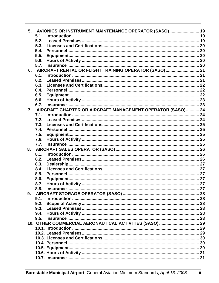| 5. | AVIONICS OR INSTRUMENT MAINTENANCE OPERATOR (SASO) 19      |  |
|----|------------------------------------------------------------|--|
|    | 5.1.                                                       |  |
|    | 5.2.                                                       |  |
|    | 5.3.                                                       |  |
|    | 5.4.                                                       |  |
|    | 5.5.                                                       |  |
|    | 5.6.                                                       |  |
|    | 5.7.                                                       |  |
|    | 6. AIRCRAFT RENTAL OR FLIGHT TRAINING OPERATOR (SASO) 21   |  |
|    | 6.1.                                                       |  |
|    | 6.2.                                                       |  |
|    | 6.3.                                                       |  |
|    | 6.4.                                                       |  |
|    | 6.5.                                                       |  |
|    | 6.6.                                                       |  |
|    | 6.7.                                                       |  |
| 7. | AIRCRAFT CHARTER OR AIRCRAFT MANAGEMENT OPERATOR (SASO) 24 |  |
|    | 7.1.                                                       |  |
|    | 7.2.                                                       |  |
|    | 7.3.                                                       |  |
|    | 7.4.                                                       |  |
|    | 7.5.                                                       |  |
|    | 7.6.                                                       |  |
|    | 7.7.                                                       |  |
| 8. |                                                            |  |
|    | 8.1.                                                       |  |
|    | 8.2.                                                       |  |
|    | 8.3.                                                       |  |
|    | 8.4.                                                       |  |
|    | 8.5.                                                       |  |
|    | 8.6.                                                       |  |
|    | 8.7.                                                       |  |
|    | 8.8.                                                       |  |
| 9. |                                                            |  |
|    | 9.1.                                                       |  |
|    | 9.2.                                                       |  |
|    | 9.3.                                                       |  |
|    | 9.4.                                                       |  |
|    | 9.5.                                                       |  |
|    |                                                            |  |
|    |                                                            |  |
|    |                                                            |  |
|    |                                                            |  |
|    |                                                            |  |
|    |                                                            |  |
|    |                                                            |  |
|    |                                                            |  |
|    |                                                            |  |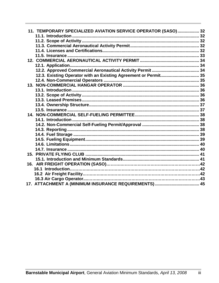| 11. TEMPORARY SPECIALIZED AVIATION SERVICE OPERATOR (SASO) 32   |  |
|-----------------------------------------------------------------|--|
|                                                                 |  |
|                                                                 |  |
|                                                                 |  |
|                                                                 |  |
|                                                                 |  |
|                                                                 |  |
|                                                                 |  |
|                                                                 |  |
| 12.3. Existing Operator with an Existing Agreement or Permit 35 |  |
|                                                                 |  |
|                                                                 |  |
|                                                                 |  |
|                                                                 |  |
|                                                                 |  |
|                                                                 |  |
|                                                                 |  |
|                                                                 |  |
|                                                                 |  |
|                                                                 |  |
|                                                                 |  |
|                                                                 |  |
|                                                                 |  |
|                                                                 |  |
|                                                                 |  |
|                                                                 |  |
|                                                                 |  |
|                                                                 |  |
|                                                                 |  |
|                                                                 |  |
|                                                                 |  |
|                                                                 |  |
|                                                                 |  |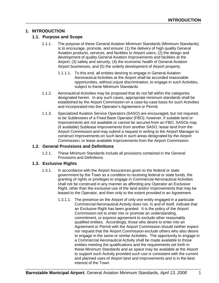### **1. INTRODUCTION**

### **1.1. Purpose and Scope**

- 1.1.1. The purpose of these General Aviation Minimum Standards (Minimum Standards) is to encourage, promote, and ensure: (1) the delivery of high quality General Aviation products, services, and facilities to Airport users, (2) the design and development of quality General Aviation Improvements and facilities at the Airport; (3) safety and security, (4) the economic health of General Aviation Airport businesses, and (5) the orderly development of Airport property.
	- 1.1.1.1. To this end, all entities desiring to engage in General Aviation Aeronautical Activities at the Airport shall be accorded reasonable opportunities, without unjust discrimination, to engage in such Activities, subject to these Minimum Standards.
- 1.1.2. Aeronautical Activities may be proposed that do not fall within the categories designated herein. In any such cases, appropriate minimum standards shall be established by the Airport Commission on a case-by-case basis for such Activities and incorporated into the Operator's Agreement or Permit.
- 1.1.3. Specialized Aviation Service Operators (SASO) are encouraged, but not required, to be Sublessees of a Fixed Base Operator (FBO); however, if suitable land or Improvements are not available or cannot be secured from an FBO, SASOs may (if available) Sublease Improvements from another SASO, lease land from the Airport Commission and may submit a request in writing to the Airport Manager to construct Improvements on such land in such areas designated by the Airport Commission, or lease available Improvements from the Airport Commission.

### **1.2. General Provisions and Definitions**

1.2.1. These Minimum Standards include all provisions contained in the General Provisions and Definitions.

### **1.3. Exclusive Rights**

- 1.3.1. In accordance with the Airport Assurances given to the federal or state government by the Town as a condition to receiving federal or state funds, the granting of rights or privileges to engage in Commercial Aeronautical Activities shall not be construed in any manner as affording any Operator an Exclusive Right, other than the exclusive use of the land and/or Improvements that may be leased to the Operator, and then only to the extent provided in an Agreement.
	- 1.3.1.1. The presence on the Airport of only one entity engaged in a particular Commercial Aeronautical Activity does not, in and of itself, indicate that an Exclusive Right has been granted. It is the policy of the Airport Commission not to enter into or promote an understanding, commitment, or express agreement to exclude other reasonably qualified entities. Accordingly, those who desire to enter into an Agreement or Permit with the Airport Commission should neither expect nor request that the Airport Commission exclude others who also desire to engage in the same or similar Activities. The opportunity to engage in a Commercial Aeronautical Activity shall be made available to those entities meeting the qualifications and the requirements set forth in these Minimum Standards and as space may be available at the Airport to support such Activity provided such use is consistent with the current and planned uses of Airport land and Improvements and is in the best interest of the Town.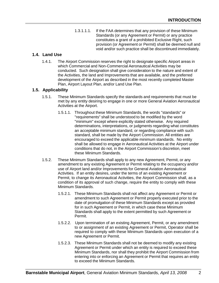1.3.1.1.1. If the FAA determines that any provision of these Minimum Standards (or any Agreement or Permit) or any practice constitutes a grant of a prohibited Exclusive Right, such provision (or Agreement or Permit) shall be deemed null and void and/or such practice shall be discontinued immediately.

### **1.4. Land Use**

1.4.1. The Airport Commission reserves the right to designate specific Airport areas in which Commercial and Non-Commercial Aeronautical Activities may be conducted. Such designation shall give consideration to the nature and extent of the Activities, the land and Improvements that are available, and the preferred development of the Airport as described in the most recently completed Master Plan, Airport Layout Plan, and/or Land Use Plan.

### **1.5. Applicability**

- 1.5.1. These Minimum Standards specify the standards and requirements that must be met by any entity desiring to engage in one or more General Aviation Aeronautical Activities at the Airport.
	- 1.5.1.1. Throughout these Minimum Standards, the words "standards" or "requirements" shall be understood to be modified by the word "minimum" except where explicitly stated otherwise. Any required determinations, interpretations, or judgments regarding what constitutes an acceptable minimum standard, or regarding compliance with such standard, shall be made by the Airport Commission. All entities are encouraged to exceed the applicable minimum standards. No entity shall be allowed to engage in Aeronautical Activities at the Airport under conditions that do not, in the Airport Commission's discretion, meet these Minimum Standards.
- 1.5.2. These Minimum Standards shall apply to any new Agreement, Permit, or any amendment to any existing Agreement or Permit relating to the occupancy and/or use of Airport land and/or Improvements for General Aviation Aeronautical Activities. If an entity desires, under the terms of an existing Agreement or Permit, to change its Aeronautical Activities, the Airport Commission shall, as a condition of its approval of such change, require the entity to comply with these Minimum Standards.
	- 1.5.2.1. These Minimum Standards shall not affect any Agreement or Permit or amendment to such Agreement or Permit properly executed prior to the date of promulgation of these Minimum Standards except as provided for in such Agreement or Permit, in which case these Minimum Standards shall apply to the extent permitted by such Agreement or Permit.
	- 1.5.2.2. Upon termination of an existing Agreement, Permit, or any amendment to or assignment of an existing Agreement or Permit, Operator shall be required to comply with these Minimum Standards upon execution of a new Agreement or Permit.
	- 1.5.2.3. These Minimum Standards shall not be deemed to modify any existing Agreement or Permit under which an entity is required to exceed these Minimum Standards, nor shall they prohibit the Airport Commission from entering into or enforcing an Agreement or Permit that requires an entity to exceed the Minimum Standards.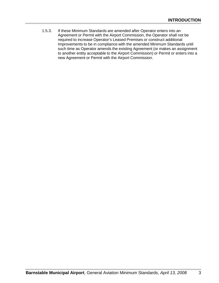1.5.3. If these Minimum Standards are amended after Operator enters into an Agreement or Permit with the Airport Commission, the Operator shall not be required to increase Operator's Leased Premises or construct additional Improvements to be in compliance with the amended Minimum Standards until such time as Operator amends the existing Agreement (or makes an assignment to another entity acceptable to the Airport Commission) or Permit or enters into a new Agreement or Permit with the Airport Commission.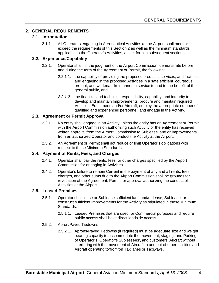# **2. GENERAL REQUIREMENTS**

## **2.1. Introduction**

2.1.1. All Operators engaging in Aeronautical Activities at the Airport shall meet or exceed the requirements of this Section 2 as well as the minimum standards applicable to the Operator's Activities, as set forth in subsequent sections.

## **2.2. Experience/Capability**

- 2.2.1. Operator shall, in the judgment of the Airport Commission, demonstrate before and during the term of the Agreement or Permit, the following:
	- 2.2.1.1. the capability of providing the proposed products, services, and facilities and engaging in the proposed Activities in a safe efficient, courteous, prompt, and workmanlike manner in service to and to the benefit of the general public, and
	- *2.2.1.2.* the financial and technical responsibility, capability, and integrity to develop and maintain Improvements; procure and maintain required Vehicles, Equipment, and/or Aircraft; employ the appropriate number of qualified and experienced personnel; and engage in the Activity.

## **2.3. Agreement or Permit Approval**

- 2.3.1. No entity shall engage in an Activity unless the entity has an Agreement or Permit with the Airport Commission authorizing such Activity or the entity has received written approval from the Airport Commission to Sublease land or Improvements from an authorized Operator and conduct the Activity at the Airport.
- 2.3.2. An Agreement or Permit shall not reduce or limit Operator's obligations with respect to these Minimum Standards.

## **2.4. Payment of Rents, Fees, and Charges**

- 2.4.1. Operator shall pay the rents, fees, or other charges specified by the Airport Commission for engaging in Activities.
- 2.4.2. Operator's failure to remain Current in the payment of any and all rents, fees, charges, and other sums due to the Airport Commission shall be grounds for revocation of the Agreement, Permit, or approval authorizing the conduct of Activities at the Airport.

## **2.5. Leased Premises**

- 2.5.1. Operator shall lease or Sublease sufficient land and/or lease, Sublease, or construct sufficient Improvements for the Activity as stipulated in these Minimum Standards.
	- 2.5.1.1. Leased Premises that are used for Commercial purposes and require public access shall have direct landside access.
- 2.5.2. Apron/Paved Tiedowns
	- 2.5.2.1. Aprons/Paved Tiedowns (if required) must be adequate size and weight bearing capacity to accommodate the movement, staging, and Parking of Operator's, Operator's Sublessees', and customers' Aircraft without interfering with the movement of Aircraft in and out of other facilities and Aircraft operating to/from/on Taxilanes or Taxiways.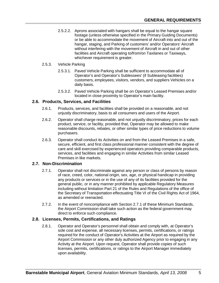2.5.2.2. Aprons associated with hangars shall be equal to the hangar square footage (unless otherwise specified in the Primary Guiding Documents) or be able to accommodate the movement of Aircraft into and out of the hangar, staging, and Parking of customers' and/or Operators' Aircraft without interfering with the movement of Aircraft in and out of other facilities and Aircraft operating to/from/on Taxilanes or Taxiways, whichever requirement is greater.

#### 2.5.3. Vehicle Parking

- 2.5.3.1. Paved Vehicle Parking shall be sufficient to accommodate all of Operator's and Operator's Sublessees' (if Subleasing facilities) customers, employees, visitors, vendors, and suppliers Vehicles on a daily basis.
- 2.5.3.2. Paved Vehicle Parking shall be on Operator's Leased Premises and/or located in close proximity to Operator's main facility.

## **2.6. Products, Services, and Facilities**

- 2.6.1. Products, services, and facilities shall be provided on a reasonable, and not unjustly discriminatory, basis to all consumers and users of the Airport.
- 2.6.2. Operator shall charge reasonable, and not unjustly discriminatory, prices for each product, service, or facility, provided that, Operator may be allowed to make reasonable discounts, rebates, or other similar types of price reductions to volume purchasers.
- 2.6.3. Operator shall conduct its Activities on and from the Leased Premises in a safe, secure, efficient, and first class professional manner consistent with the degree of care and skill exercised by experienced operators providing comparable products, services, and facilities and engaging in similar Activities from similar Leased Premises in like markets.

## **2.7. Non-Discrimination**

- 2.7.1. Operator shall not discriminate against any person or class of persons by reason of race, creed, color, national origin, sex, age, or physical handicap in providing any products or services or in the use of any of its facilities provided for the general public, or in any manner prohibited by applicable Regulatory Measures including without limitation Part 21 of the Rules and Regulations of the office of the Secretary of Transportation effectuating Title VI of the Civil Rights Act of 1964, as amended or reenacted.
- 2.7.2. In the event of noncompliance with Section 2.7.1 of these Minimum Standards, the Airport Commission shall take such action as the federal government may direct to enforce such compliance.

## **2.8. Licenses, Permits, Certifications, and Ratings**

2.8.1. Operator and Operator's personnel shall obtain and comply with, at Operator's sole cost and expense, all necessary licenses, permits, certifications, or ratings required for the conduct of Operator's Activities at the Airport as required by the Airport Commission or any other duly authorized Agency prior to engaging in any Activity at the Airport. Upon request, Operator shall provide copies of such licenses, permits, certifications, or ratings to the Airport Manager immediately upon availability.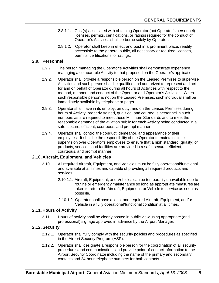- 2.8.1.1. Cost(s) associated with obtaining Operator (not Operator's personnel) licenses, permits, certifications, or ratings required for the conduct of Operator's Activities shall be borne solely by Operator.
- 2.8.1.2. Operator shall keep in effect and post in a prominent place, readily accessible to the general public, all necessary or required licenses, permits, certifications, or ratings.

### **2.9. Personnel**

- *2.9.1.* The person managing the Operator's Activities shall demonstrate experience managing a comparable Activity to that proposed on the Operator's application.
- 2.9.2. Operator shall provide a responsible person on the Leased Premises to supervise Activities and such person shall be qualified and authorized to represent and act for and on behalf of Operator during all hours of Activities with respect to the method, manner, and conduct of the Operator and Operator's Activities. When such responsible person is not on the Leased Premises, such individual shall be immediately available by telephone or pager.
- 2.9.3. Operator shall have in its employ, on duty, and on the Leased Premises during hours of Activity, properly trained, qualified, and courteous personnel in such numbers as are required to meet these Minimum Standards and to meet the reasonable demands of the aviation public for each Activity being conducted in a safe, secure, efficient, courteous, and prompt manner.
- 2.9.4. Operator shall control the conduct, demeanor, and appearance of their employees. It shall be the responsibility of the Operator to maintain close supervision over Operator's employees to ensure that a high standard (quality) of products, services, and facilities are provided in a safe, secure, efficient, courteous, and prompt manner.

## **2.10. Aircraft, Equipment, and Vehicles**

- 2.10.1. All required Aircraft, Equipment, and Vehicles must be fully operational/functional and available at all times and capable of providing all required products and services.
	- 2.10.1.1. Aircraft, Equipment, and Vehicles can be temporarily unavailable due to routine or emergency maintenance so long as appropriate measures are taken to return the Aircraft, Equipment, or Vehicle to service as soon as possible.
	- 2.10.1.2. Operator shall have a least one required Aircraft, Equipment, and/or Vehicle in a fully operational/functional condition at all times.

#### **2.11. Hours of Activity**

2.11.1. Hours of activity shall be clearly posted in public view using appropriate (and professional) signage approved in advance by the Airport Manager.

#### **2.12. Security**

- 2.12.1. Operator shall fully comply with the security policies and procedures as specified in the Airport Security Program (ASP).
- 2.12.2. Operator shall designate a responsible person for the coordination of all security procedures and communications and provide point-of-contact information to the Airport Security Coordinator including the name of the primary and secondary contacts and 24-hour telephone numbers for both contacts.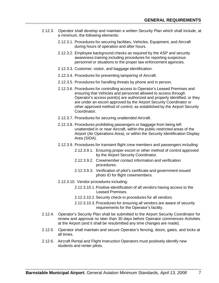- 2.12.3. Operator shall develop and maintain a written Security Plan which shall include, at a minimum, the following elements:
	- 2.12.3.1. Procedures for securing facilities, Vehicles, Equipment, and Aircraft during hours of operation and after hours.
	- 2.12.3.2. Employee background checks as required by the ASP and security awareness training including procedures for reporting suspicious personnel or situations to the proper law enforcement agencies.
	- 2.12.3.3. Customer, visitor, and baggage identification.
	- 2.12.3.4. Procedures for preventing tampering of Aircraft.
	- 2.12.3.5. Procedures for handling threats by phone and in person.
	- 2.12.3.6. Procedures for controlling access to Operator's Leased Premises and ensuring that Vehicles and personnel allowed to access through Operator's access point(s) are authorized and properly identified, or they are under an escort approved by the Airport Security Coordinator or other approved method of control, as established by the Airport Security Coordinator.
	- 2.12.3.7. Procedures for securing unattended Aircraft.
	- 2.12.3.8. Procedures prohibiting passengers or baggage from being left unattended in or near Aircraft, within the public-restricted areas of the Airport (Air Operations Area), or within the Security Identification Display Area (SIDA).
	- 2.12.3.9. Procedures for transient flight crew members and passengers including:
		- 2.12.3.9.1. Ensuring proper escort or other method of control approved by the Airport Security Coordinator.
		- 2.12.3.9.2. Crewmember contact information and verification procedures.
		- 2.12.3.9.3. Verification of pilot's certificate and government-issued photo ID for flight crewmembers.
	- 2.12.3.10. Vendor procedures including:
		- 2.12.3.10.1. Positive identification of all vendors having access to the Leased Premises.
		- 2.12.3.10.2. Security check-in procedures for all vendors.
		- 2.12.3.10.3. Procedures for ensuring all vendors are aware of security requirements for the Operator's facility.
- 2.12.4. Operator's Security Plan shall be submitted to the Airport Security Coordinator for review and approval no later than 30 days before Operator commences Activities at the Airport (and it shall be resubmitted any time changes are made).
- 2.12.5. Operator shall maintain and secure Operator's fencing, doors, gates, and locks at all times.
- 2.12.6. Aircraft Rental and Flight Instruction Operators must positively identify new students and renter pilots.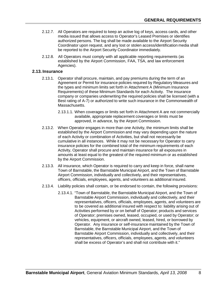- 2.12.7. All Operators are required to keep an active log of keys, access cards, and other media issued that allows access to Operator's Leased Premises or identifies authorized persons. The log shall be made available to the Airport Security Coordinator upon request, and any lost or stolen access/identification media shall be reported to the Airport Security Coordinator immediately.
- 2.12.8. All Operators must comply with all applicable reporting requirements (as established by the Airport Commission, FAA, TSA, and law enforcement Agencies).

## **2.13. Insurance**

- 2.13.1. Operator shall procure, maintain, and pay premiums during the term of an Agreement or Permit for insurance policies required by Regulatory Measures and the types and minimum limits set forth in Attachment A (Minimum Insurance Requirements) of these Minimum Standards for each Activity. The insurance company or companies underwriting the required policies shall be licensed (with a Best rating of A-7) or authorized to write such insurance in the Commonwealth of Massachusetts.
	- 2.13.1.1. When coverages or limits set forth in Attachment A are not commercially available, appropriate replacement coverages or limits must be approved, in advance, by the Airport Commission.
- 2.13.2. When Operator engages in more than one Activity, the minimum limits shall be established by the Airport Commission and may vary depending upon the nature of each Activity or combination of Activities, but shall not necessarily be cumulative in all instances. While it may not be necessary for Operator to carry insurance policies for the combined total of the minimum requirements of each Activity, Operator shall procure and maintain insurance for all exposures in amounts at least equal to the greatest of the required minimum or as established by the Airport Commission.
- 2.13.3. All insurance, which Operator is required to carry and keep in force, shall name Town of Barnstable, the Barnstable Municipal Airport, and the Town of Barnstable Airport Commission, individually and collectively, and their representatives, officers, officials, employees, agents, and volunteers as additional insured.
- 2.13.4. Liability policies shall contain, or be endorsed to contain, the following provisions:
	- 2.13.4.1. "Town of Barnstable, the Barnstable Municipal Airport, and the Town of Barnstable Airport Commission, individually and collectively, and their representatives, officers, officials, employees, agents, and volunteers are to be covered as additional insured with respect to: liability arising out of Activities performed by or on behalf of Operator; products and services of Operator; premises owned, leased, occupied, or used by Operator; or vehicles, equipment, or aircraft owned, leased, hired, or borrowed by Operator. Any insurance or self-insurance maintained by the Town of Barnstable, the Barnstable Municipal Airport, and the Town of Barnstable Airport Commission, individually and collectively, and their representatives, officers, officials, employees, agents, and volunteers shall be excess of Operator's and shall not contribute with it."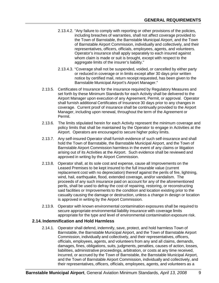- 2.13.4.2. "Any failure to comply with reporting or other provisions of the policies, including breaches of warranties, shall not affect coverage provided to the Town of Barnstable, the Barnstable Municipal Airport, and the Town of Barnstable Airport Commission, individually and collectively, and their representatives, officers, officials, employees, agents, and volunteers. Operator's insurance shall apply separately to each insured against whom claim is made or suit is brought, except with respect to the aggregate limits of the insurer's liability."
- 2.13.4.3. "Coverage shall not be suspended, voided, or cancelled by either party or reduced in coverage or in limits except after 30 days prior written notice by certified mail, return receipt requested, has been given to the Barnstable Municipal Airport's Airport Manager."
- 2.13.5. Certificates of Insurance for the insurance required by Regulatory Measures and set forth by these Minimum Standards for each Activity shall be delivered to the Airport Manager upon execution of any Agreement, Permit, or approval. Operator shall furnish additional Certificates of Insurance 30 days prior to any changes in coverage. Current proof of insurance shall be continually provided to the Airport Manager, including upon renewal, throughout the term of the Agreement or Permit.
- 2.13.6. The limits stipulated herein for each Activity represent the minimum coverage and policy limits that shall be maintained by the Operator to engage in Activities at the Airport. Operators are encouraged to secure higher policy limits.
- 2.13.7. Any self-insured Operator shall furnish evidence of such self-insurance and shall hold the Town of Barnstable, the Barnstable Municipal Airport, and the Town of Barnstable Airport Commission harmless in the event of any claims or litigation arising out of its Activities at the Airport. Such evidence shall be reviewed and approved in writing by the Airport Commission.
- 2.13.8. Operator shall, at its sole cost and expense, cause all Improvements on the Leased Premises to be kept insured to the full insurable value (current replacement cost with no depreciation) thereof against the perils of fire, lightning, wind, hail, earthquake, flood, extended coverage, and/or vandalism. The proceeds of any such insurance paid on account for any of the aforementioned perils, shall be used to defray the cost of repairing, restoring, or reconstructing said facilities or Improvements to the condition and location existing prior to the casualty causing the damage or destruction, unless a change in design or location is approved in writing by the Airport Commission.
- 2.13.9. Operator with known environmental contamination exposures shall be required to secure appropriate environmental liability insurance with coverage limits appropriate for the type and level of environmental contamination exposure risk.

# **2.14. Indemnification and Hold Harmless**

2.14.1. Operator shall defend, indemnify, save, protect, and hold harmless Town of Barnstable, the Barnstable Municipal Airport, and the Town of Barnstable Airport Commission, individually and collectively, and their representatives, officers, officials, employees, agents, and volunteers from any and all claims, demands, damages, fines, obligations, suits, judgments, penalties, causes of action, losses, liabilities, administrative proceedings, arbitration, or costs at any time received, incurred, or accrued by the Town of Barnstable, the Barnstable Municipal Airport, and the Town of Barnstable Airport Commission, individually and collectively, and their representatives, officers, officials, employees, agents, and volunteers as a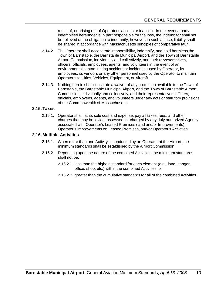result of, or arising out of Operator's actions or inaction. In the event a party indemnified hereunder is in part responsible for the loss, the indemnitor shall not be relieved of the obligation to indemnify; however, in such a case, liability shall be shared in accordance with Massachusetts principles of comparative fault.

- 2.14.2. The Operator shall accept total responsibility, indemnify, and hold harmless the Town of Barnstable, the Barnstable Municipal Airport, and the Town of Barnstable Airport Commission, individually and collectively, and their representatives, officers, officials, employees, agents, and volunteers in the event of an environmental contaminating accident or incident caused by Operator, its employees, its vendors or any other personnel used by the Operator to maintain Operator's facilities, Vehicles, Equipment, or Aircraft.
- 2.14.3. Nothing herein shall constitute a waiver of any protection available to the Town of Barnstable, the Barnstable Municipal Airport, and the Town of Barnstable Airport Commission, individually and collectively, and their representatives, officers, officials, employees, agents, and volunteers under any acts or statutory provisions of the Commonwealth of Massachusetts.

#### **2.15. Taxes**

2.15.1. Operator shall, at its sole cost and expense, pay all taxes, fees, and other charges that may be levied, assessed, or charged by any duly authorized Agency associated with Operator's Leased Premises (land and/or Improvements), Operator's Improvements on Leased Premises, and/or Operator's Activities.

#### **2.16. Multiple Activities**

- 2.16.1. When more than one Activity is conducted by an Operator at the Airport, the minimum standards shall be established by the Airport Commission.
- 2.16.2. Depending upon the nature of the combined Activities, the minimum standards shall not be:
	- 2.16.2.1. less than the highest standard for each element (e.g., land, hangar, office, shop, etc.) within the combined Activities, or
	- 2.16.2.2. greater than the cumulative standards for all of the combined Activities.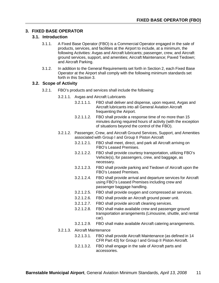## **3. FIXED BASE OPERATOR**

#### **3.1. Introduction**

- 3.1.1. A Fixed Base Operator (FBO) is a Commercial Operator engaged in the sale of products, services, and facilities at the Airport to include, at a minimum, the following Activities: Avgas and Aircraft lubricants; passenger, crew, and Aircraft ground services, support, and amenities; Aircraft Maintenance; Paved Tiedown; and Aircraft Parking.
- 3.1.2. In addition to the General Requirements set forth in Section 2, each Fixed Base Operator at the Airport shall comply with the following minimum standards set forth in this Section 3.

#### **3.2. Scope of Activity**

- 3.2.1. FBO's products and services shall include the following:
	- 3.2.1.1. Avgas and Aircraft Lubricants
		- 3.2.1.1.1. FBO shall deliver and dispense, upon request, Avgas and Aircraft lubricants into all General Aviation Aircraft frequenting the Airport.
		- 3.2.1.1.2. FBO shall provide a response time of no more than 15 minutes during required hours of activity (with the exception of situations beyond the control of the FBO).
	- 3.2.1.2. Passenger, Crew, and Aircraft Ground Services, Support, and Amenities associated with Group I and Group II Piston Aircraft
		- 3.2.1.2.1. FBO shall meet, direct, and park all Aircraft arriving on FBO's Leased Premises.
		- 3.2.1.2.2. FBO shall provide courtesy transportation, utilizing FBO's Vehicle(s), for passengers, crew, and baggage, as necessary.
		- 3.2.1.2.3. FBO shall provide parking and Tiedown of Aircraft upon the FBO's Leased Premises.
		- 3.2.1.2.4. FBO shall provide arrival and departure services for Aircraft using FBO's Leased Premises including crew and passenger baggage handling.
		- 3.2.1.2.5. FBO shall provide oxygen and compressed air services.
		- 3.2.1.2.6. FBO shall provide an Aircraft ground power unit.
		- 3.2.1.2.7. FBO shall provide aircraft cleaning services.
		- 3.2.1.2.8. FBO shall make available crew and passenger ground transportation arrangements (Limousine, shuttle, and rental car).
		- 3.2.1.2.9. FBO shall make available Aircraft catering arrangements.
	- 3.2.1.3. Aircraft Maintenance
		- 3.2.1.3.1. FBO shall provide Aircraft Maintenance (as defined in 14 CFR Part 43) for Group I and Group II Piston Aircraft.
		- 3.2.1.3.2. FBO shall engage in the sale of Aircraft parts and accessories.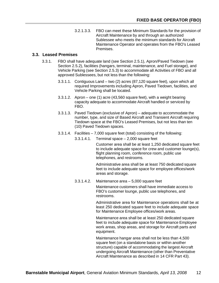3.2.1.3.3. FBO can meet these Minimum Standards for the provision of Aircraft Maintenance by and through an authorized Sublessee who meets the minimum standards for Aircraft Maintenance Operator and operates from the FBO's Leased Premises.

### **3.3. Leased Premises**

- 3.3.1. FBO shall have adequate land (see Section 2.5.1), Apron/Paved Tiedown (see Section 2.5.2), facilities (hangars, terminal, maintenance, and Fuel storage), and Vehicle Parking (see Section 2.5.3) to accommodate all Activities of FBO and all approved Sublessees, but not less than the following:
	- 3.3.1.1. Contiguous Land two (2) acres (87,120 square feet), upon which all required Improvements including Apron, Paved Tiedown, facilities, and Vehicle Parking shall be located.
	- 3.3.1.2. Apron one (1) acre (43,560 square feet), with a weight bearing capacity adequate to accommodate Aircraft handled or serviced by FBO.
	- 3.3.1.3. Paved Tiedown (exclusive of Apron) adequate to accommodate the number, type, and size of Based Aircraft and Transient Aircraft requiring Tiedown space at the FBO's Leased Premises, but not less than ten (10) Paved Tiedown spaces.
	- 3.3.1.4. Facilities 7,000 square feet (total) consisting of the following:
		- 3.3.1.4.1. Terminal space 2,000 square feet

Customer area shall be at least 1,250 dedicated square feet to include adequate space for crew and customer lounge(s), flight planning room, conference room, public use telephones, and restrooms.

Administrative area shall be at least 750 dedicated square feet to include adequate space for employee offices/work areas and storage.

3.3.1.4.2. Maintenance area – 5,000 square feet Maintenance customers shall have immediate access to

FBO's customer lounge, public use telephones, and restrooms.

Administrative area for Maintenance operations shall be at least 250 dedicated square feet to include adequate space for Maintenance Employee offices/work areas.

Maintenance area shall be at least 250 dedicated square feet to include adequate space for Maintenance Employee work areas, shop areas, and storage for Aircraft parts and equipment.

Maintenance hangar area shall not be less than 4,500 square feet (on a standalone basis or within another structure) capable of accommodating the largest Aircraft undergoing Aircraft Maintenance (other than Preventative Aircraft Maintenance as described in 14 CFR Part 43).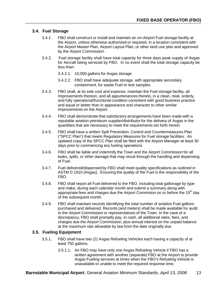## **3.4. Fuel Storage**

- 3.4.1. FBO shall construct or install and maintain an on-Airport Fuel storage facility at the Airport, unless otherwise authorized or required, in a location consistent with the Airport Master Plan, Airport Layout Plan, or other land use plan and approved by the Airport Commission.
- 3.4.2. Fuel storage facility shall have total capacity for three days peak supply of Avgas for Aircraft being serviced by FBO. In no event shall the total storage capacity be less than:
	- 3.4.2.1. 10,000 gallons for Avgas storage
	- 3.4.2.2. FBO shall have adequate storage, with appropriate secondary containment, for waste Fuel or test samples
- 3.4.3. FBO shall, at its sole cost and expense, maintain the Fuel storage facility, all Improvements thereon, and all appurtenances thereto, in a clean, neat, orderly, and fully operational/functional condition consistent with good business practice and equal or better than in appearance and character to other similar Improvements on the Airport.
- 3.4.4. FBO shall demonstrate that satisfactory arrangements have been made with a reputable aviation petroleum supplier/distributor for the delivery of Avgas in the quantities that are necessary to meet the requirements set forth herein.
- 3.4.5. FBO shall have a written Spill Prevention, Control and Countermeasures Plan ("SPCC Plan") that meets Regulatory Measures for Fuel storage facilities. An updated copy of the SPCC Plan shall be filed with the Airport Manager at least 30 days prior to commencing any fueling operations.
- 3.4.6. FBO shall be liable and indemnify the Town and the Airport Commission for all leaks, spills, or other damage that may result through the handling and dispensing of Fuel.
- 3.4.7. Fuel delivered/dispensed by FBO shall meet quality specifications as outlined in ASTM D 1910 (Avgas). Ensuring the quality of the Fuel is the responsibility of the FBO.
- 3.4.8. FBO shall report all Fuel delivered to the FBO, including total gallonage by type and make, during each calendar month and submit a summary along with appropriate fees and charges due the Airport Commision on or before the 15<sup>th</sup> day of the subsequent month.
- 3.4.9. FBO shall maintain records identifying the total number of aviation Fuel gallons purchased and delivered. Records (and meters) shall be made available for audit to the Airport Commission or representatives of the Town. In the case of a discrepancy, FBO shall promptly pay, in cash, all additional rates, fees, and charges due the Airport Commission, plus annual interest on the unpaid balance at the maximum rate allowable by law from the date originally due.

## **3.5. Fueling Equipment**

- 3.5.1. FBO shall have two (2) Avgas Refueling Vehicles each having a capacity of at least 750 gallons.
	- 3.5.1.1. An FBO may have only one Avgas Refueling Vehicle if FBO has a written agreement with another (separate) FBO at the Airport to provide Avgas Fueling services at times when the FBO's Refueling Vehicle is unavailable or unable to meet the required response time.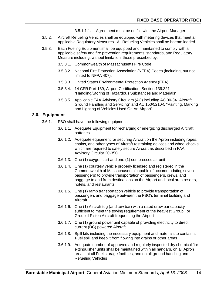- 3.5.1.1.1. Agreement must be on file with the Airport Manager.
- 3.5.2. Aircraft Refueling Vehicles shall be equipped with metering devices that meet all applicable Regulatory Measures. All Refueling Vehicles shall be bottom loaded.
- 3.5.3. Each Fueling Equipment shall be equipped and maintained to comply with all applicable safety and fire prevention requirements, standards, and Regulatory Measure including, without limitation, those prescribed by:
	- 3.5.3.1. Commonwealth of Massachusetts Fire Code;
	- 3.5.3.2. National Fire Protection Association (NFPA) Codes (including, but not limited to NFPA 407);
	- 3.5.3.3. United States Environmental Protection Agency (EPA);
	- 3.5.3.4. 14 CFR Part 139, Airport Certification, Section 139.321 "Handling/Storing of Hazardous Substances and Materials".
	- 3.5.3.5. Applicable FAA Advisory Circulars (AC) including AC 00-34 "Aircraft Ground Handling and Servicing" and AC 150/5210-5 "Painting, Marking and Lighting of Vehicles Used On An Airport".

#### **3.6. Equipment**

- 3.6.1. FBO shall have the following equipment:
	- 3.6.1.1. Adequate Equipment for recharging or energizing discharged Aircraft batteries
	- 3.6.1.2. Adequate equipment for securing Aircraft on the Apron including ropes, chains, and other types of Aircraft restraining devices and wheel chocks which are required to safely secure Aircraft as described in FAA Advisory Circular 20-35C
	- 3.6.1.3. One (1) oxygen cart and one (1) compressed air unit
	- 3.6.1.4. One (1) courtesy vehicle properly licensed and registered in the Commonwealth of Massachusetts (capable of accommodating seven passengers) to provide transportation of passengers, crews, and baggage to and from destinations on the Airport and local area resorts, hotels, and restaurants
	- 3.6.1.5. One (1) ramp transportation vehicle to provide transportation of passengers and baggage between the FBO's terminal building and Aircraft
	- 3.6.1.6. One (1) Aircraft tug (and tow bar) with a rated draw bar capacity sufficient to meet the towing requirement of the heaviest Group I or Group II Piston Aircraft frequenting the Airport
	- 3.6.1.7. One (1) ground power unit capable of providing electricity to direct current (DC) powered Aircraft
	- 3.6.1.8. Spill kits including the necessary equipment and materials to contain a Fuel spill and keep it from flowing into drains or other areas
	- 3.6.1.9. Adequate number of approved and regularly inspected dry chemical fire extinguisher units shall be maintained within all hangars, on all Apron areas, at all Fuel storage facilities, and on all ground handling and Refueling Vehicles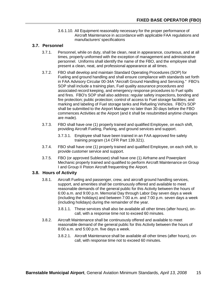3.6.1.10. All Equipment reasonably necessary for the proper performance of Aircraft Maintenance in accordance with applicable FAA regulations and manufacturers' specifications

## **3.7. Personnel**

- 3.7.1. Personnel, while on duty, shall be clean, neat in appearance, courteous, and at all times, properly uniformed with the exception of management and administrative personnel. Uniforms shall identify the name of the FBO, and the employee shall present a clean, neat, and professional appearance at all times.
- 3.7.2. FBO shall develop and maintain Standard Operating Procedures (SOP) for Fueling and ground handling and shall ensure compliance with standards set forth in FAA Advisory Circular 00-34A "Aircraft Ground Handling and Servicing." FBO's SOP shall include a training plan, Fuel quality assurance procedures and associated record keeping, and emergency response procedures to Fuel spills and fires. FBO's SOP shall also address: regular safety inspections, bonding and fire protection; public protection; control of access to Fuel storage facilities; and marking and labeling of Fuel storage tanks and Refueling Vehicles. FBO's SOP shall be submitted to the Airport Manager no later than 30 days before the FBO commences Activities at the Airport (and it shall be resubmitted anytime changes are made).
- 3.7.3. FBO shall have one (1) properly trained and qualified Employee, on each shift, providing Aircraft Fueling, Parking, and ground services and support.
	- 3.7.3.1. Employee shall have been trained in an FAA approved fire safety training program (14 CFR Part 139.321).
- 3.7.4. FBO shall have one (1) properly trained and qualified Employee, on each shift, to provide customer service and support.
- 3.7.5. FBO (or approved Sublessee) shall have one (1) Airframe and Powerplant Mechanic properly trained and qualified to perform Aircraft Maintenance on Group I and Group II Piston Aircraft frequenting the Airport.

## **3.8. Hours of Activity**

- 3.8.1. Aircraft Fueling and passenger, crew, and aircraft ground handling services, support, and amenities shall be continuously offered and available to meet reasonable demands of the general public for this Activity between the hours of 6:00 a.m. and 9:00 p.m. Memorial Day through Labor Day seven days a week (including the holidays) and between 7:00 a.m. and 7:00 p.m. seven days a week (including holidays) during the remainder of the year.
	- 3.8.1.1. These services shall also be available all other times (after hours), oncall, with a response time not to exceed 60 minutes.
- 3.8.2. Aircraft Maintenance shall be continuously offered and available to meet reasonable demand of the general public for this Activity between the hours of 8:00 a.m. and 5:00 p.m. five days a week.
	- 3.8.2.1. Aircraft Maintenance shall be available all other times (after hours), oncall, with response time not to exceed 60 minutes.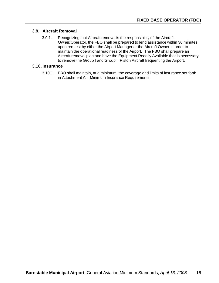### **3.9. Aircraft Removal**

3.9.1. Recognizing that Aircraft removal is the responsibility of the Aircraft Owner/Operator, the FBO shall be prepared to lend assistance within 30 minutes upon request by either the Airport Manager or the Aircraft Owner in order to maintain the operational readiness of the Airport. The FBO shall prepare an Aircraft removal plan and have the Equipment Readily Available that is necessary to remove the Group I and Group II Piston Aircraft frequenting the Airport.

#### **3.10. Insurance**

3.10.1. FBO shall maintain, at a minimum, the coverage and limits of insurance set forth in Attachment A – Minimum Insurance Requirements.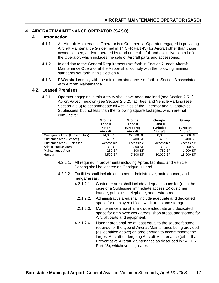## **4. AIRCRAFT MAINTENANCE OPERATOR (SASO)**

#### **4.1. Introduction**

- 4.1.1. An Aircraft Maintenance Operator is a Commercial Operator engaged in providing Aircraft Maintenance (as defined in 14 CFR Part 43) for Aircraft other than those owned, leased, and/or operated by (and under the full and exclusive control of) the Operator, which includes the sale of Aircraft parts and accessories.
- 4.1.2. In addition to the General Requirements set forth in Section 2, each Aircraft Maintenance Operator at the Airport shall comply with the following minimum standards set forth in this Section 4.
- 4.1.3. FBOs shall comply with the minimum standards set forth in Section 3 associated with Aircraft Maintenance.

#### **4.2. Leased Premises**

4.2.1. Operator engaging in this Activity shall have adequate land (see Section 2.5.1), Apron/Paved Tiedown (see Section 2.5.2), facilities, and Vehicle Parking (see Section 2.5.3) to accommodate all Activities of the Operator and all approved Sublessees, but not less than the following square footages, which are not cumulative:

|                               | <b>Groups</b> | <b>Groups</b>    | <b>Groups</b>   | Group           |
|-------------------------------|---------------|------------------|-----------------|-----------------|
|                               | I and II      | l and II         | l and II        | Ш               |
|                               | <b>Piston</b> | <b>Turboprop</b> | <b>Turbojet</b> | <b>Turbojet</b> |
|                               | Aircraft      | Aircraft         | Aircraft        | Aircraft        |
| Contiguous Land (Lessee Only) | 14,000 SF     | 22,500 SF        | 30,000 SF       | 43,560 SF       |
| Customer Area (Lessee)        | 400 SF        | 400 SF           | 400 SF          | 400 SF          |
| Customer Area (Sublessee)     | Accessible    | Accessible       | Accessible      | Accessible      |
| Administrative Area           | 300 SF        | 300 SF           | 300 SF          | 300 SF          |
| Maintenance Area              | 250 SF        | 500 SF           | 750 SF          | 1,000 SF        |
| Hangar                        | 4,500 SF      | 7,500 SF         | 10,000 SF       | 15,000 SF       |

- 4.2.1.1. All required Improvements including Apron, facilities, and Vehicle Parking shall be located on Contiguous Land.
- 4.2.1.2. Facilities shall include customer, administrative, maintenance, and hangar areas.
	- 4.2.1.2.1. Customer area shall include adequate space for (or in the case of a Sublessee, immediate access to) customer lounge, public use telephone, and restrooms.
	- 4.2.1.2.2. Administrative area shall include adequate and dedicated space for employee offices/work areas and storage.
	- 4.2.1.2.3. Maintenance area shall include adequate and dedicated space for employee work areas, shop areas, and storage for Aircraft parts and equipment.
	- 4.2.1.2.4. Hangar area shall be at least equal to the square footage required for the type of Aircraft Maintenance being provided (as identified above) or large enough to accommodate the largest Aircraft undergoing Aircraft Maintenance (other than Preventative Aircraft Maintenance as described in 14 CFR Part 43), whichever is greater.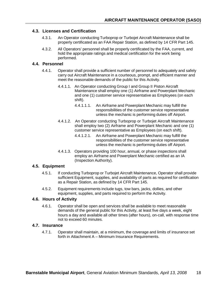## **4.3. Licenses and Certification**

- 4.3.1. An Operator conducting Turboprop or Turbojet Aircraft Maintenance shall be properly certificated as an FAA Repair Station, as defined by 14 CFR Part 145.
- 4.3.2. All Operators' personnel shall be properly certificated by the FAA, current, and hold the appropriate ratings and medical certification for the work being performed.

#### **4.4. Personnel**

- 4.4.1. Operator shall provide a sufficient number of personnel to adequately and safely carry out Aircraft Maintenance in a courteous, prompt, and efficient manner and meet the reasonable demands of the public for this Activity.
	- 4.4.1.1. An Operator conducting Group I and Group II Piston Aircraft Maintenance shall employ one (1) Airframe and Powerplant Mechanic and one (1) customer service representative as Employees (on each shift).
		- 4.4.1.1.1. An Airframe and Powerplant Mechanic may fulfill the responsibilities of the customer service representative unless the mechanic is performing duties off Airport.
	- 4.4.1.2. An Operator conducting Turboprop or Turbojet Aircraft Maintenance shall employ two (2) Airframe and Powerplant Mechanic and one (1) customer service representative as Employees (on each shift).
		- 4.4.1.2.1. An Airframe and Powerplant Mechanic may fulfill the responsibilities of the customer service representative unless the mechanic is performing duties off Airport.
	- 4.4.1.3. Operators providing 100 hour, annual, or phase inspections shall employ an Airframe and Powerplant Mechanic certified as an IA (Inspection Authority).

#### **4.5. Equipment**

- 4.5.1. If conducting Turboprop or Turbojet Aircraft Maintenance, Operator shall provide sufficient Equipment, supplies, and availability of parts as required for certification as a Repair Station, as defined by 14 CFR Part 145.
- 4.5.2. Equipment requirements include tugs, tow bars, jacks, dollies, and other equipment, supplies, and parts required to perform the Activity.

## **4.6. Hours of Activity**

4.6.1. Operator shall be open and services shall be available to meet reasonable demands of the general public for this Activity, at least five days a week, eight hours a day and available all other times (after hours), on-call, with response time not to exceed 60 minutes.

#### **4.7. Insurance**

4.7.1. Operator shall maintain, at a minimum, the coverage and limits of insurance set forth in Attachment A – Minimum Insurance Requirements.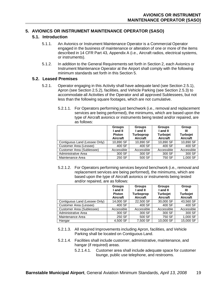# **5. AVIONICS OR INSTRUMENT MAINTENANCE OPERATOR (SASO)**

### **5.1. Introduction**

- 5.1.1. An Avionics or Instrument Maintenance Operator is a Commercial Operator engaged in the business of maintenance or alteration of one or more of the items described in 14 CFR Part 43, Appendix A (i.e., Aircraft radios, electrical systems, or instruments).
- 5.1.2. In addition to the General Requirements set forth in Section 2, each Avionics or Instrument Maintenance Operator at the Airport shall comply with the following minimum standards set forth in this Section 5.

#### **5.2. Leased Premises**

- 5.2.1. Operator engaging in this Activity shall have adequate land (see Section 2.5.1), Apron (see Section 2.5.2), facilities, and Vehicle Parking (see Section 2.5.3) to accommodate all Activities of the Operator and all approved Sublessees, but not less than the following square footages, which are not cumulative.
	- 5.2.1.1. For Operators performing just benchwork (i.e., removal and replacement services are being performed), the minimums, which are based upon the type of Aircraft avionics or instruments being tested and/or repaired, are as follows:

|                               | <b>Groups</b><br>I and II<br><b>Piston</b><br>Aircraft | <b>Groups</b><br>I and II<br><b>Turboprop</b><br>Aircraft | <b>Groups</b><br>I and II<br><b>Turbojet</b><br>Aircraft | Group<br>Ш<br>Turbojet<br>Aircraft |
|-------------------------------|--------------------------------------------------------|-----------------------------------------------------------|----------------------------------------------------------|------------------------------------|
| Contiguous Land (Lessee Only) | 10,890 SF                                              | 10,890 SF                                                 | 10,890 SF                                                | 10,890 SF                          |
| Customer Area (Lessee)        | 400 SF                                                 | 400 SF                                                    | 400 SF                                                   | 400 SF                             |
| Customer Area (Sublessee)     | Accessible                                             | Accessible                                                | Accessible                                               | Accessible                         |
| Administrative Area           | 300 SF                                                 | 300 SF                                                    | 300 SF                                                   | 300 SF                             |
| Maintenance Area              | 250 SF                                                 | 500 SF                                                    | 750 SF                                                   | 1,000 SF                           |

5.2.1.2. For Operators performing services beyond benchwork (i.e., removal and replacement services are being performed), the minimums, which are based upon the type of Aircraft avionics or instruments being tested and/or repaired, are as follows:

|                               | <b>Groups</b>             | <b>Groups</b>                | <b>Groups</b>               | Group                       |
|-------------------------------|---------------------------|------------------------------|-----------------------------|-----------------------------|
|                               | I and II                  | I and II                     | I and II                    | Ш                           |
|                               | <b>Piston</b><br>Aircraft | <b>Turboprop</b><br>Aircraft | <b>Turbojet</b><br>Aircraft | <b>Turbojet</b><br>Aircraft |
| Contiguous Land (Lessee Only) | 14,000 SF                 | 22,500 SF                    | 30,000 SF                   | 43,560 SF                   |
| Customer Area (Lessee)        | 400 SF                    | 400 SF                       | 400 SF                      | 400 SF                      |
| Customer Area (Sublessee)     | Accessible                | Accessible                   | Accessible                  | Accessible                  |
| Administrative Area           | 300 SF                    | 300 SF                       | 300 SF                      | 300 SF                      |
| Maintenance Area              | 250 SF                    | 500 SF                       | 750 SF                      | 1,000 SF                    |
| Hangar                        | 4,500 SF                  | 7,500 SF                     | 10,000 SF                   | 15,000 SF                   |

- 5.2.1.3. All required Improvements including Apron, facilities, and Vehicle Parking shall be located on Contiguous Land.
- 5.2.1.4. Facilities shall include customer, administrative, maintenance, and hangar (if required) areas.
	- 5.2.1.4.1. Customer area shall include adequate space for customer lounge, public use telephone, and restrooms.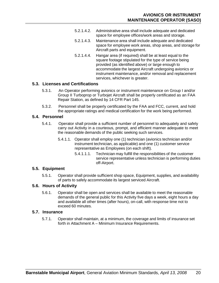- 5.2.1.4.2. Administrative area shall include adequate and dedicated space for employee offices/work areas and storage.
- 5.2.1.4.3. Maintenance area shall include adequate and dedicated space for employee work areas, shop areas, and storage for Aircraft parts and equipment.
- 5.2.1.4.4. Hangar area (if required) shall be at least equal to the square footage stipulated for the type of service being provided (as identified above) or large enough to accommodate the largest Aircraft undergoing avionics or instrument maintenance, and/or removal and replacement services, whichever is greater.

## **5.3. Licenses and Certifications**

- 5.3.1. An Operator performing avionics or instrument maintenance on Group I and/or Group II Turboprop or Turbojet Aircraft shall be properly certificated as an FAA Repair Station, as defined by 14 CFR Part 145.
- 5.3.2. Personnel shall be properly certificated by the FAA and FCC, current, and hold the appropriate ratings and medical certification for the work being performed.

#### **5.4. Personnel**

- 5.4.1. Operator shall provide a sufficient number of personnel to adequately and safely carry out Activity in a courteous, prompt, and efficient manner adequate to meet the reasonable demands of the public seeking such services.
	- 5.4.1.1. Operator shall employ one (1) technician (avionics technician and/or instrument technician, as applicable) and one (1) customer service representative as Employees (on each shift).
		- 5.4.1.1.1. Technician may fulfill the responsibilities of the customer service representative unless technician is performing duties off-Airport.

## **5.5. Equipment**

5.5.1. Operator shall provide sufficient shop space, Equipment, supplies, and availability of parts to safely accommodate its largest serviced Aircraft.

## **5.6. Hours of Activity**

5.6.1. Operator shall be open and services shall be available to meet the reasonable demands of the general public for this Activity five days a week, eight hours a day and available all other times (after hours), on-call, with response time not to exceed 60 minutes.

### **5.7. Insurance**

5.7.1. Operator shall maintain, at a minimum, the coverage and limits of insurance set forth in Attachment A – Minimum Insurance Requirements.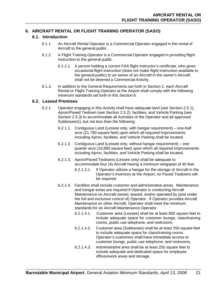# **6. AIRCRAFT RENTAL OR FLIGHT TRAINING OPERATOR (SASO)**

# **6.1. Introduction**

- 6.1.1. An Aircraft Rental Operator is a Commercial Operator engaged in the rental of Aircraft to the general public.
- 6.1.2. A Flight Training Operator is a Commercial Operator engaged in providing flight instruction to the general public.
	- 6.1.2.1. A person holding a current FAA flight instructor's certificate, who gives occasional flight instruction (does not make flight instruction available to the general public) to an owner of an Aircraft in the owner's Aircraft, shall not be deemed a Commercial Activity.
- 6.1.3. In addition to the General Requirements set forth in Section 2, each Aircraft Rental or Flight Training Operator at the Airport shall comply with the following minimum standards set forth in this Section 6.

## **6.2. Leased Premises**

- 6.2.1. Operator engaging in this Activity shall have adequate land (see Section 2.5.1), Apron/Paved Tiedown (see Section 2.5.2), facilities, and Vehicle Parking (see Section 2.5.3) to accommodate all Activities of the Operator and all approved Sublessee(s), but not less than the following:
	- 6.2.1.1. Contiguous Land (Lessee only, with hangar requirement) one-half acre (21,780 square feet) upon which all required Improvements including Apron, facilities, and Vehicle Parking shall be located.
	- 6.2.1.2. Contiguous Land (Lessee only, without hangar requirement) onequarter acre (10,890 square feet) upon which all required Improvements including Apron, facilities, and Vehicle Parking shall be located.
	- 6.2.1.3. Apron/Paved Tiedowns (Lessee only) shall be adequate to accommodate four (4) Aircraft having a minimum wingspan of 40 feet.
		- 6.2.1.3.1. If Operator utilizes a hangar for the storage of Aircraft in the Operator's inventory at the Airport, no Paved Tiedowns will be required.
	- 6.2.1.4. Facilities shall include customer and administrative areas. Maintenance and hangar areas are required if Operator is conducting Aircraft Maintenance on Aircraft owned, leased, and/or operated by (and under the full and exclusive control of) Operator. If Operator provides Aircraft Maintenance on other Aircraft, Operator shall meet the minimum standards for an Aircraft Maintenance Operator.
		- 6.2.1.4.1. Customer area (Lessee) shall be at least 800 square feet to include adequate space for customer lounge, class/training rooms, public use telephone, and restrooms.
		- 6.2.1.4.2. Customer area (Sublessee) shall be at least 250 square feet to include adequate space for class/training rooms. Operator's customers shall have immediate access to customer lounge, public use telephone, and restrooms.
		- 6.2.1.4.3. Administrative area shall be at least 250 square feet to include adequate and dedicated space for employee offices/work areas and storage.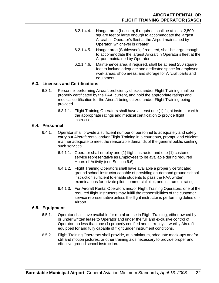- 6.2.1.4.4. Hangar area (Lessee), if required, shall be at least 2,500 square feet or large enough to accommodate the largest Aircraft in Operator's fleet at the Airport maintained by Operator, whichever is greater.
- 6.2.1.4.5. Hangar area (Sublessee), if required, shall be large enough to accommodate the largest Aircraft in Operator's fleet at the Airport maintained by Operator.
- 6.2.1.4.6. Maintenance area, if required, shall be at least 250 square feet to include adequate and dedicated space for employee work areas, shop areas, and storage for Aircraft parts and equipment.

## **6.3. Licenses and Certifications**

- 6.3.1. Personnel performing Aircraft proficiency checks and/or Flight Training shall be properly certificated by the FAA, current, and hold the appropriate ratings and medical certification for the Aircraft being utilized and/or Flight Training being provided.
	- 6.3.1.1. Flight Training Operators shall have at least one (1) flight instructor with the appropriate ratings and medical certification to provide flight instruction.

## **6.4. Personnel**

- 6.4.1. Operator shall provide a sufficient number of personnel to adequately and safely carry out Aircraft rental and/or Flight Training in a courteous, prompt, and efficient manner adequate to meet the reasonable demands of the general public seeking such services.
	- 6.4.1.1. Operator shall employ one (1) flight instructor and one (1) customer service representative as Employees to be available during required Hours of Activity (see Section 6.6).
	- 6.4.1.2. Flight Training Operators shall have available a properly certificated ground school instructor capable of providing on-demand ground school instruction sufficient to enable students to pass the FAA written examinations for private pilot, commercial pilot, and instrument rating.
	- 6.4.1.3. For Aircraft Rental Operators and/or Flight Training Operators, one of the required flight instructors may fulfill the responsibilities of the customer service representative unless the flight instructor is performing duties off-Airport.

## **6.5. Equipment**

- 6.5.1. Operator shall have available for rental or use in Flight Training, either owned by or under written lease to Operator and under the full and exclusive control of Operator, no less than one (1) properly certified and currently airworthy Aircraft equipped for and fully capable of flight under instrument conditions.
- 6.5.2. Flight Training Operators shall provide, at a minimum, adequate mock-ups and/or still and motion pictures, or other training aids necessary to provide proper and effective ground school instruction.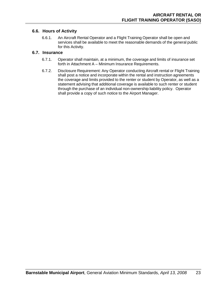## **6.6. Hours of Activity**

6.6.1. An Aircraft Rental Operator and a Flight Training Operator shall be open and services shall be available to meet the reasonable demands of the general public for this Activity.

## **6.7. Insurance**

- 6.7.1. Operator shall maintain, at a minimum, the coverage and limits of insurance set forth in Attachment A – Minimum Insurance Requirements.
- 6.7.2. Disclosure Requirement: Any Operator conducting Aircraft rental or Flight Training shall post a notice and incorporate within the rental and instruction agreements the coverage and limits provided to the renter or student by Operator, as well as a statement advising that additional coverage is available to such renter or student through the purchase of an individual non-ownership liability policy. Operator shall provide a copy of such notice to the Airport Manager.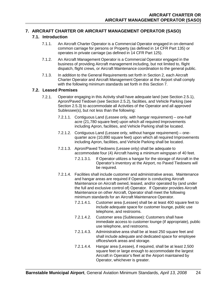## **7. AIRCRAFT CHARTER OR AIRCRAFT MANAGEMENT OPERATOR (SASO)**

## **7.1. Introduction**

- 7.1.1. An Aircraft Charter Operator is a Commercial Operator engaged in on-demand common carriage for persons or Property (as defined in 14 CFR Part 135) or operates in private carriage (as defined in 14 CFR Part 125).
- 7.1.2. An Aircraft Management Operator is a Commercial Operator engaged in the business of providing Aircraft management including, but not limited to, flight dispatch, flight crews, or Aircraft Maintenance coordination to the general public.
- 7.1.3. In addition to the General Requirements set forth in Section 2, each Aircraft Charter Operator and Aircraft Management Operator at the Airport shall comply with the following minimum standards set forth in this Section 7.

## **7.2. Leased Premises**

- 7.2.1. Operator engaging in this Activity shall have adequate land (see Section 2.5.1), Apron/Paved Tiedown (see Section 2.5.2), facilities, and Vehicle Parking (see Section 2.5.3) to accommodate all Activities of the Operator and all approved Sublessee(s), but not less than the following:
	- 7.2.1.1. Contiguous Land (Lessee only, with hangar requirement) one-half acre (21,780 square feet) upon which all required Improvements including Apron, facilities, and Vehicle Parking shall be located.
	- 7.2.1.2. Contiguous Land (Lessee only, without hangar requirement) onequarter acre (10,890 square feet) upon which all required Improvements including Apron, facilities, and Vehicle Parking shall be located.
	- 7.2.1.3. Apron/Paved Tiedowns (Lessee only) shall be adequate to accommodate four (4) Aircraft having a minimum wingspan of 40 feet.
		- 7.2.1.3.1. If Operator utilizes a hangar for the storage of Aircraft in the Operator's inventory at the Airport, no Paved Tiedowns will be required.
	- 7.2.1.4. Facilities shall include customer and administrative areas. Maintenance and hangar areas are required if Operator is conducting Aircraft Maintenance on Aircraft owned, leased, and/or operated by (and under the full and exclusive control of) Operator. If Operator provides Aircraft Maintenance on other Aircraft, Operator shall meet the following minimum standards for an Aircraft Maintenance Operator.
		- 7.2.1.4.1. Customer area (Lessee) shall be at least 400 square feet to include adequate space for customer lounge, public use telephone, and restrooms.
		- 7.2.1.4.2. Customer area (Sublessee): Customers shall have immediate access to customer lounge (if appropriate), public use telephone, and restrooms.
		- 7.2.1.4.3. Administrative area shall be at least 250 square feet and shall include adequate and dedicated space for employee offices/work areas and storage.
		- 7.2.1.4.4. Hangar area (Lessee), if required, shall be at least 2,500 square feet or large enough to accommodate the largest Aircraft in Operator's fleet at the Airport maintained by Operator, whichever is greater.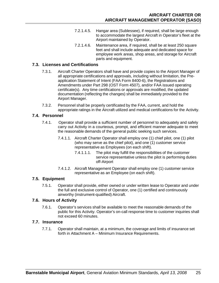- 7.2.1.4.5. Hangar area (Sublessee), if required, shall be large enough to accommodate the largest Aircraft in Operator's fleet at the Airport maintained by Operator.
- 7.2.1.4.6. Maintenance area, if required, shall be at least 250 square feet and shall include adequate and dedicated space for employee work areas, shop areas, and storage for Aircraft parts and equipment.

## **7.3. Licenses and Certifications**

- 7.3.1. Aircraft Charter Operators shall have and provide copies to the Airport Manager of all appropriate certifications and approvals, including without limitation, the Preapplication Statement of Intent (FAA Form 8400-6), the Registrations and Amendments under Part 298 (OST Form 4507), and/or FAA issued operating certificate(s). Any time certifications or approvals are modified, the updated documentation (reflecting the changes) shall be immediately provided to the Airport Manager.
- 7.3.2. Personnel shall be properly certificated by the FAA, current, and hold the appropriate ratings in the Aircraft utilized and medical certifications for the Activity.

## **7.4. Personnel**

- 7.4.1. Operator shall provide a sufficient number of personnel to adequately and safely carry out Activity in a courteous, prompt, and efficient manner adequate to meet the reasonable demands of the general public seeking such services.
	- 7.4.1.1. Aircraft Charter Operator shall employ one (1) chief pilot, one (1) pilot (who may serve as the chief pilot), and one (1) customer service representative as Employees (on each shift).
		- 7.4.1.1.1. The pilot may fulfill the responsibilities of the customer service representative unless the pilot is performing duties off-Airport
	- 7.4.1.2. Aircraft Management Operator shall employ one (1) customer service representative as an Employee (on each shift).

## **7.5. Equipment**

7.5.1. Operator shall provide, either owned or under written lease to Operator and under the full and exclusive control of Operator, one (1) certified and continuously airworthy (instrument-qualified) Aircraft.

## **7.6. Hours of Activity**

7.6.1. Operator's services shall be available to meet the reasonable demands of the public for this Activity. Operator's on-call response time to customer inquiries shall not exceed 60 minutes.

## **7.7. Insurance**

7.7.1. Operator shall maintain, at a minimum, the coverage and limits of insurance set forth in Attachment A – Minimum Insurance Requirements.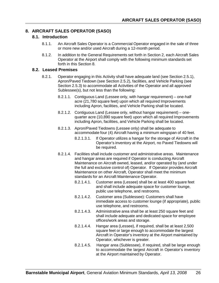# **8. AIRCRAFT SALES OPERATOR (SASO)**

## **8.1. Introduction**

- 8.1.1. An Aircraft Sales Operator is a Commercial Operator engaged in the sale of three or more new and/or used Aircraft during a 12-month period.
- 8.1.2. In addition to the General Requirements set forth in Section 2, each Aircraft Sales Operator at the Airport shall comply with the following minimum standards set forth in this Section 8.

## **8.2. Leased Premises**

- 8.2.1. Operator engaging in this Activity shall have adequate land (see Section 2.5.1), Apron/Paved Tiedown (see Section 2.5.2), facilities, and Vehicle Parking (see Section 2.5.3) to accommodate all Activities of the Operator and all approved Sublessee(s), but not less than the following:
	- 8.2.1.1. Contiguous Land (Lessee only, with hangar requirement) one-half acre (21,780 square feet) upon which all required Improvements including Apron, facilities, and Vehicle Parking shall be located.
	- 8.2.1.2. Contiguous Land (Lessee only, without hangar requirement) onequarter acre (10,890 square feet) upon which all required Improvements including Apron, facilities, and Vehicle Parking shall be located.
	- 8.2.1.3. Apron/Paved Tiedowns (Lessee only) shall be adequate to accommodate four (4) Aircraft having a minimum wingspan of 40 feet.
		- 8.2.1.3.1. If Operator utilizes a hangar for the storage of Aircraft in the Operator's inventory at the Airport, no Paved Tiedowns will be required.
	- 8.2.1.4. Facilities shall include customer and administrative areas. Maintenance and hangar areas are required if Operator is conducting Aircraft Maintenance on Aircraft owned, leased, and/or operated by (and under the full and exclusive control of) Operator. If Operator provides Aircraft Maintenance on other Aircraft, Operator shall meet the minimum standards for an Aircraft Maintenance Operator.
		- 8.2.1.4.1. Customer area (Lessee) shall be at least 400 square feet and shall include adequate space for customer lounge, public use telephone, and restrooms.
		- 8.2.1.4.2. Customer area (Sublessee): Customers shall have immediate access to customer lounge (if appropriate), public use telephone, and restrooms.
		- 8.2.1.4.3. Administrative area shall be at least 250 square feet and shall include adequate and dedicated space for employee offices/work areas and storage.
		- 8.2.1.4.4. Hangar area (Lessee), if required, shall be at least 2,500 square feet or large enough to accommodate the largest Aircraft in Operator's inventory at the Airport maintained by Operator, whichever is greater.
		- 8.2.1.4.5. Hangar area (Sublessee), if required, shall be large enough to accommodate the largest Aircraft in Operator's inventory at the Airport maintained by Operator.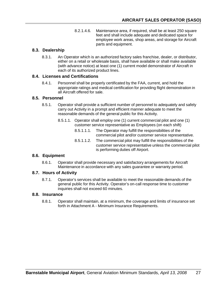8.2.1.4.6. Maintenance area, if required, shall be at least 250 square feet and shall include adequate and dedicated space for employee work areas, shop areas, and storage for Aircraft parts and equipment.

# **8.3. Dealership**

8.3.1. An Operator which is an authorized factory sales franchise, dealer, or distributor, either on a retail or wholesale basis, shall have available or shall make available (with advance notice) at least one (1) current model demonstrator of Aircraft in each of its authorized product lines.

## **8.4. Licenses and Certifications**

8.4.1. Personnel shall be properly certificated by the FAA, current, and hold the appropriate ratings and medical certification for providing flight demonstration in all Aircraft offered for sale.

# **8.5. Personnel**

- 8.5.1. Operator shall provide a sufficient number of personnel to adequately and safely carry out Activity in a prompt and efficient manner adequate to meet the reasonable demands of the general public for this Activity.
	- 8.5.1.1. Operator shall employ one (1) current commercial pilot and one (1) customer service representative as Employees (on each shift)
		- 8.5.1.1.1. The Operator may fulfill the responsibilities of the commercial pilot and/or customer service representative.
		- 8.5.1.1.2. The commercial pilot may fulfill the responsibilities of the customer service representative unless the commercial pilot is performing duties off Airport.

# **8.6. Equipment**

8.6.1. Operator shall provide necessary and satisfactory arrangements for Aircraft Maintenance in accordance with any sales guarantee or warranty period.

## **8.7. Hours of Activity**

8.7.1. Operator's services shall be available to meet the reasonable demands of the general public for this Activity. Operator's on-call response time to customer inquiries shall not exceed 60 minutes.

## **8.8. Insurance**

8.8.1. Operator shall maintain, at a minimum, the coverage and limits of insurance set forth in Attachment A - Minimum Insurance Requirements.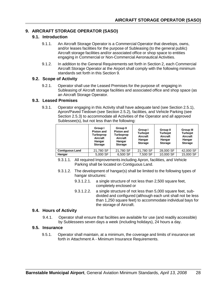# **9. AIRCRAFT STORAGE OPERATOR (SASO)**

## **9.1. Introduction**

- 9.1.1. An Aircraft Storage Operator is a Commercial Operator that develops, owns, and/or leases facilities for the purpose of Subleasing (to the general public) Aircraft storage facilities and/or associated office or shop space to entities engaging in Commercial or Non-Commercial Aeronautical Activities.
- 9.1.2. In addition to the General Requirements set forth in Section 2, each Commercial Aircraft Storage Operator at the Airport shall comply with the following minimum standards set forth in this Section 9.

## **9.2. Scope of Activity**

9.2.1. Operator shall use the Leased Premises for the purpose of: engaging in Subleasing of Aircraft storage facilities and associated office and shop space (as an Aircraft Storage Operator.

#### **9.3. Leased Premises**

9.3.1. Operator engaging in this Activity shall have adequate land (see Section 2.5.1), Apron/Paved Tiedown (see Section 2.5.2), facilities, and Vehicle Parking (see Section 2.5.3) to accommodate all Activities of the Operator and all approved Sublessee(s), but not less than the following:

|                        | Group I<br><b>Piston and</b><br><b>Turboprop</b><br>Aircraft<br>Hangar<br><b>Storage</b> | Group II<br><b>Piston and</b><br>Turboprop<br>Aircraft<br>Hangar<br><b>Storage</b> | Group I<br><b>Turbojet</b><br>Aircraft<br>Hangar<br><b>Storage</b> | <b>Group II</b><br><b>Turbojet</b><br>Aircraft<br>Hangar<br><b>Storage</b> | <b>Group III</b><br><b>Turbojet</b><br>Aircraft<br>Hangar<br><b>Storage</b> |
|------------------------|------------------------------------------------------------------------------------------|------------------------------------------------------------------------------------|--------------------------------------------------------------------|----------------------------------------------------------------------------|-----------------------------------------------------------------------------|
| <b>Contiguous Land</b> | 21,780 SF                                                                                | 21.780 SF                                                                          | 21.780 SF                                                          | 28,000 SF                                                                  | 42,000 SF                                                                   |
| Hangar                 | 5,000 SF                                                                                 | 6,500 SF                                                                           | 7,500 SF                                                           | 10,000 SF                                                                  | 15,000 SF                                                                   |

- 9.3.1.1. All required Improvements including Apron, facilities, and Vehicle Parking shall be located on Contiguous Land.
- 9.3.1.2. The development of hangar(s) shall be limited to the following types of hangar structures:
	- 9.3.1.2.1. a single structure of not less than 2,500 square feet, completely enclosed or
	- 9.3.1.2.2. a single structure of not less than 5,000 square feet, subdivided and configured (although each unit shall not be less than 1,250 square feet) to accommodate individual bays for the storage of Aircraft.

#### **9.4. Hours of Activity**

9.4.1. Operator shall ensure that facilities are available for use (and readily accessible) by Sublessees seven days a week (including holidays), 24 hours a day.

#### **9.5. Insurance**

9.5.1. Operator shall maintain, at a minimum, the coverage and limits of insurance set forth in Attachment A - Minimum Insurance Requirements.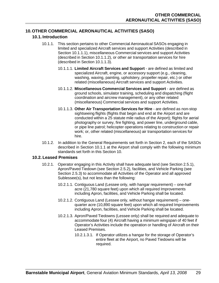# **10.OTHER COMMERCIAL AERONAUTICAL ACTIVITIES (SASO)**

## **10.1. Introduction**

- 10.1.1. This section pertains to other Commercial Aeronautical SASOs engaging in limited and specialized Aircraft services and support Activities (described in Section 10.1.1.1), miscellaneous Commercial services and support Activities (described in Section 10.1.1.2), or other air transportation services for hire (described in Section 10.1.1.3).
	- 10.1.1.1. **Limited Aircraft Services and Support** are defined as limited and specialized Aircraft, engine, or accessory support (e.g., cleaning, washing, waxing, painting, upholstery, propeller repair, etc.) or other related (miscellaneous) Aircraft services and support Activities.
	- 10.1.1.2. **Miscellaneous Commercial Services and Support** are defined as ground schools, simulator training, scheduling and dispatching (flight coordination and aircrew management), or any other related (miscellaneous) Commercial services and support Activities.
	- 10.1.1.3. **Other Air Transportation Services for Hire** are defined as non-stop sightseeing flights (flights that begin and end at the Airport and are conducted within a 25 statute mile radius of the Airport); flights for aerial photography or survey, fire fighting, and power line, underground cable, or pipe line patrol; helicopter operations relating to construction or repair work; or, other related (miscellaneous) air transportation services for hire.
- 10.1.2. In addition to the General Requirements set forth in Section 2, each of the SASOs described in Section 10.1.1 at the Airport shall comply with the following minimum standards set forth in this Section 10.

## **10.2. Leased Premises**

- 10.2.1. Operator engaging in this Activity shall have adequate land (see Section 2.5.1), Apron/Paved Tiedown (see Section 2.5.2), facilities, and Vehicle Parking (see Section 2.5.3) to accommodate all Activities of the Operator and all approved Sublessee(s), but not less than the following:
	- 10.2.1.1. Contiguous Land (Lessee only, with hangar requirement) one-half acre (21,780 square feet) upon which all required Improvements including Apron, facilities, and Vehicle Parking shall be located.
	- 10.2.1.2. Contiguous Land (Lessee only, without hangar requirement) onequarter acre (10,890 square feet) upon which all required Improvements including Apron, facilities, and Vehicle Parking shall be located.
	- 10.2.1.3. Apron/Paved Tiedowns (Lessee only) shall be required and adequate to accommodate four (4) Aircraft having a minimum wingspan of 40 feet if Operator's Activities include the operation or handling of Aircraft on their Leased Premises.
		- 10.2.1.3.1. If Operator utilizes a hangar for the storage of Operator's entire fleet at the Airport, no Paved Tiedowns will be required.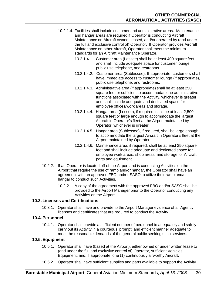- 10.2.1.4. Facilities shall include customer and administrative areas. Maintenance and hangar areas are required if Operator is conducting Aircraft Maintenance on Aircraft owned, leased, and/or operated by (and under the full and exclusive control of) Operator. If Operator provides Aircraft Maintenance on other Aircraft, Operator shall meet the minimum standards for an Aircraft Maintenance Operator.
	- 10.2.1.4.1. Customer area (Lessee) shall be at least 400 square feet and shall include adequate space for customer lounge, public use telephone, and restrooms.
	- 10.2.1.4.2. Customer area (Sublessee): If appropriate, customers shall have immediate access to customer lounge (if appropriate), public use telephone, and restrooms.
	- 10.2.1.4.3. Administrative area (if appropriate) shall be at least 250 square feet or sufficient to accommodate the administrative functions associated with the Activity, whichever is greater, and shall include adequate and dedicated space for employee offices/work areas and storage.
	- 10.2.1.4.4. Hangar area (Lessee), if required, shall be at least 2,500 square feet or large enough to accommodate the largest Aircraft in Operator's fleet at the Airport maintained by Operator, whichever is greater.
	- 10.2.1.4.5. Hangar area (Sublessee), if required, shall be large enough to accommodate the largest Aircraft in Operator's fleet at the Airport maintained by Operator.
	- 10.2.1.4.6. Maintenance area, if required, shall be at least 250 square feet and shall include adequate and dedicated space for employee work areas, shop areas, and storage for Aircraft parts and equipment.
- 10.2.2. If an Operator is located off of the Airport and is conducting Activities on the Airport that require the use of ramp and/or hangar, the Operator shall have an agreement with an approved FBO and/or SASO to utilize their ramp and/or hangar to conduct such Activities.
	- 10.2.2.1. A copy of the agreement with the approved FBO and/or SASO shall be provided to the Airport Manager prior to the Operator conducting any Activities on the Airport.

## **10.3. Licenses and Certifications**

10.3.1. Operator shall have and provide to the Airport Manager evidence of all Agency licenses and certificates that are required to conduct the Activity.

#### **10.4. Personnel**

10.4.1. Operator shall provide a sufficient number of personnel to adequately and safely carry out its Activity in a courteous, prompt, and efficient manner adequate to meet the reasonable demands of the general public seeking such services.

## **10.5. Equipment**

- 10.5.1. Operator shall have (based at the Airport), either owned or under written lease to (and under the full and exclusive control of) Operator, sufficient Vehicles, Equipment, and, if appropriate, one (1) continuously airworthy Aircraft.
- 10.5.2. Operator shall have sufficient supplies and parts available to support the Activity.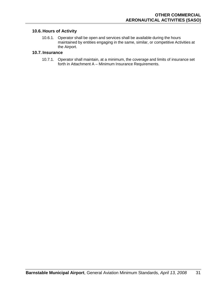# **10.6. Hours of Activity**

10.6.1. Operator shall be open and services shall be available during the hours maintained by entities engaging in the same, similar, or competitive Activities at the Airport.

### **10.7. Insurance**

10.7.1. Operator shall maintain, at a minimum, the coverage and limits of insurance set forth in Attachment A – Minimum Insurance Requirements.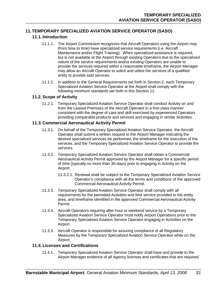# **11.TEMPORARY SPECIALIZED AVIATION SERVICE OPERATOR (SASO)**

# **11.1. Introduction**

- 11.1.1. The Airport Commission recognizes that Aircraft Operators using the Airport may (from time to time) have specialized service requirements (i.e. Aircraft Maintenance and/or Flight Training). When specialized assistance is required, but is not available at the Airport through existing Operators due to the specialized nature of the service requirements and/or existing Operators are unable to provide the services required within a reasonable timeframe, the Airport Manager may allow an Aircraft Operator to solicit and utilize the services of a qualified entity to provide said services.
- 11.1.2. In addition to the General Requirements set forth in Section 2, each Temporary Specialized Aviation Service Operator at the Airport shall comply with the following minimum standards set forth in this Section 11.

## **11.2. Scope of Activity**

11.2.1. Temporary Specialized Aviation Service Operator shall conduct Activity on and from the Leased Premises of the Aircraft Operator in a first-class manner consistent with the degree of care and skill exercised by experienced Operators providing comparable products and services and engaging in similar Activities.

# **11.3. Commercial Aeronautical Activity Permit**

- 11.3.1. On behalf of the Temporary Specialized Aviation Service Operator, the Aircraft Operator shall submit a written request to the Airport Manager indicating the desired specialized services be performed, the timeframe for the execution of the services, and the Temporary Specialized Aviation Service Operator to provide the services.
- 11.3.2. Temporary Specialized Aviation Service Operator shall obtain a Commercial Aeronautical Activity Permit approved by the Airport Manager for a specific period of time (typically no more than 30-days) prior to engaging in Activity on the Airport.
	- 11.3.2.1. Renewal shall be subject to the Temporary Specialized Aviation Service Operator's compliance with all the terms and conditions of the approved Commercial Aeronautical Activity Permit.
- 11.3.3. Temporary Specialized Aviation Service Operator shall comply with all requirements for the permitted Activities and limit service provided to the entity, area, and timeframe identified in the approved Commercial Aeronautical Activity Permit.
- 11.3.4. Aircraft Operators requiring after-hour or weekend service by a Temporary Specialized Aviation Service Operator must notify Airport Operations prior to the Temporary Specialized Aviation Service Operator engaging in Activities on the Airport.
- 11.3.5. Aircraft Operator is responsible for assuring compliance of all Regulatory Measures by the Temporary Specialized Aviation Service Operator while on the Airport.

## **11.4. Licenses and Certifications**

11.4.1. Temporary Specialized Aviation Service Operator shall have and provide to the Airport Manager evidence of all Agency licenses and certificates that are required.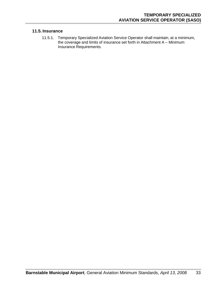## **11.5. Insurance**

11.5.1. Temporary Specialized Aviation Service Operator shall maintain, at a minimum, the coverage and limits of insurance set forth in Attachment A – Minimum Insurance Requirements.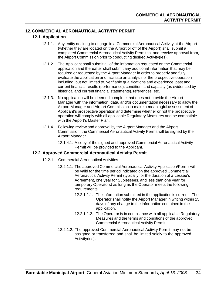# **12.COMMERCIAL AERONAUTICAL ACTIVITY PERMIT**

## **12.1. Application**

- 12.1.1. Any entity desiring to engage in a Commercial Aeronautical Activity at the Airport (whether they are located on the Airport or off of the Airport) shall submit a completed Commercial Aeronautical Activity Permit to, and receive approval from, the Airport Commission prior to conducting desired Activity(ies).
- 12.1.2. The Applicant shall submit all of the information requested on the Commercial application and thereafter shall submit any additional information that may be required or requested by the Airport Manager in order to properly and fully evaluate the application and facilitate an analysis of the prospective operation including, but not limited to, verifiable qualifications and experience, past and current financial results (performance), condition, and capacity (as evidenced by historical and current financial statements), references, etc.
- 12.1.3. No application will be deemed complete that does not provide the Airport Manager with the information, data, and/or documentation necessary to allow the Airport Manager and Airport Commission to make a meaningful assessment of Applicant's prospective operation and determine whether or not the prospective operation will comply with all applicable Regulatory Measures and be compatible with the Airport's Master Plan.
- 12.1.4. Following review and approval by the Airport Manager and the Airport Commission, the Commercial Aeronautical Activity Permit will be signed by the Airport Manager.
	- 12.1.4.1. A copy of the signed and approved Commercial Aeronautical Activity Permit will be provided to the Applicant.

#### **12.2. Approved Commercial Aeronautical Activity Permit**

- 12.2.1. Commercial Aeronautical Activities
	- 12.2.1.1. The approved Commercial Aeronautical Activity Application/Permit will be valid for the time period indicated on the approved Commercial Aeronautical Activity Permit (typically for the duration of a Lessee's Agreement, one year for Sublessees, and less than one year for temporary Operators) as long as the Operator meets the following requirements:
		- 12.2.1.1.1. The information submitted in the application is current. The Operator shall notify the Airport Manager in writing within 15 days of any change to the information contained in the application.
		- 12.2.1.1.2. The Operator is in compliance with all applicable Regulatory Measures and the terms and conditions of the approved Commercial Aeronautical Activity Permit.
	- 12.2.1.2. The approved Commercial Aeronautical Activity Permit may not be assigned or transferred and shall be limited solely to the approved Activity(ies).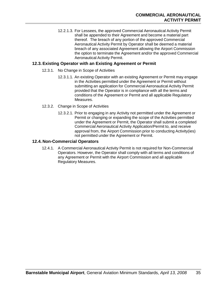12.2.1.3. For Lessees, the approved Commercial Aeronautical Activity Permit shall be appended to their Agreement and become a material part thereof. The breach of any portion of the approved Commercial Aeronautical Activity Permit by Operator shall be deemed a material breach of any associated Agreement allowing the Airport Commission the option to terminate the Agreement and/or the approved Commercial Aeronautical Activity Permit.

## **12.3. Existing Operator with an Existing Agreement or Permit**

- 12.3.1. No Change in Scope of Activities
	- 12.3.1.1. An existing Operator with an existing Agreement or Permit may engage in the Activities permitted under the Agreement or Permit without submitting an application for Commercial Aeronautical Activity Permit provided that the Operator is in compliance with all the terms and conditions of the Agreement or Permit and all applicable Regulatory Measures.
- 12.3.2. Change in Scope of Activities
	- 12.3.2.1. Prior to engaging in any Activity not permitted under the Agreement or Permit or changing or expanding the scope of the Activities permitted under the Agreement or Permit, the Operator shall submit a completed Commercial Aeronautical Activity Application/Permit to, and receive approval from, the Airport Commission prior to conducting Activity(ies) not permitted under the Agreement or Permit.

## **12.4. Non-Commercial Operators**

12.4.1. A Commercial Aeronautical Activity Permit is not required for Non-Commercial Operators. However, the Operator shall comply with all terms and conditions of any Agreement or Permit with the Airport Commission and all applicable Regulatory Measures.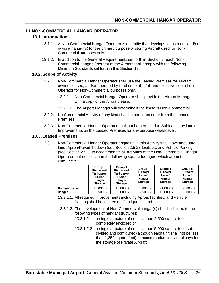## **13.NON-COMMERCIAL HANGAR OPERATOR**

### **13.1. Introduction**

- 13.1.1. A Non-Commercial Hangar Operator is an entity that develops, constructs, and/or owns a hangar(s) for the primary purpose of storing Aircraft used for Non-Commercial purposes only.
- 13.1.2. In addition to the General Requirements set forth in Section 2, each Non-Commercial Hangar Operator at the Airport shall comply with the following Minimum Standards set forth in this Section 13.

#### **13.2. Scope of Activity**

- 13.2.1. Non-Commercial Hangar Operator shall use the Leased Premises for Aircraft owned, leased, and/or operated by (and under the full and exclusive control of) Operator for Non-Commercial purposes only.
	- 13.2.1.1. Non-Commercial Hangar Operator shall provide the Airport Manager with a copy of the Aircraft lease.
	- 13.2.1.2. The Airport Manager will determine if the lease is Non-Commercial.
- 13.2.2. No Commercial Activity of any kind shall be permitted on or from the Leased Premises.
- 13.2.3. Non-Commercial Hangar Operator shall not be permitted to Sublease any land or Improvements on the Leased Premises for any purpose whatsoever.

#### **13.3. Leased Premises**

13.3.1. Non-Commercial Hangar Operator engaging in this Activity shall have adequate land, Apron/Paved Tiedown (see Section 2.5.2), facilities, and Vehicle Parking (see Section 2.5.3) to accommodate all Activities of the Non-Commercial Hangar Operator, but not less than the following square footages, which are not cumulative:

|                        | Group I<br><b>Piston and</b><br>Turboprop<br>Aircraft<br>Hangar<br><b>Storage</b> | <b>Group II</b><br><b>Piston and</b><br>Turboprop<br>Aircraft<br>Hangar<br><b>Storage</b> | Group I<br><b>Turbojet</b><br>Aircraft<br>Hangar<br><b>Storage</b> | <b>Group II</b><br><b>Turbojet</b><br>Aircraft<br>Hangar<br><b>Storage</b> | Group III<br><b>Turbojet</b><br>Aircraft<br>Hangar<br><b>Storage</b> |
|------------------------|-----------------------------------------------------------------------------------|-------------------------------------------------------------------------------------------|--------------------------------------------------------------------|----------------------------------------------------------------------------|----------------------------------------------------------------------|
| <b>Contiguous Land</b> | 10,890 SF                                                                         | 12,000 SF                                                                                 | 18,000 SF                                                          | 24,000 SF                                                                  | 36,000 SF                                                            |
| Hangar                 | 2,500 SF                                                                          | 5,000 SF                                                                                  | 7,500 SF                                                           | 10,000 SF                                                                  | 15,000 SF                                                            |

- 13.3.1.1. All required Improvements including Apron, facilities, and Vehicle Parking shall be located on Contiguous Land.
- 13.3.1.2. The development of Non-Commercial hangar(s) shall be limited to the following types of hangar structures:
	- 13.3.1.2.1. a single structure of not less than 2,500 square feet, completely enclosed or
	- 13.3.1.2.2. a single structure of not less than 5,000 square feet, subdivided and configured (although each unit shall not be less than 1,250 square feet) to accommodate individual bays for the storage of Private Aircraft.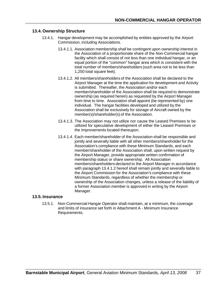#### **13.4. Ownership Structure**

- 13.4.1. Hangar development may be accomplished by entities approved by the Airport Commission, including Associations.
	- 13.4.1.1. Association membership shall be contingent upon ownership interest in the Association of a proportionate share of the Non-Commercial hangar facility which shall consist of not less than one individual hangar, or an equal portion of the "common" hangar area which is consistent with the total number of members/shareholders (such area not to be less than 1,250 total square feet).
	- 13.4.1.2. All members/shareholders of the Association shall be declared to the Airport Manager at the time the application for development and Activity is submitted. Thereafter, the Association and/or each member/shareholder of the Association shall be required to demonstrate ownership (as required herein) as requested by the Airport Manager from time to time. Association shall appoint (be represented by) one individual. The hangar facilities developed and utilized by the Association shall be exclusively for storage of Aircraft owned by the member(s)/shareholder(s) of the Association.
	- 13.4.1.3. The Association may not utilize nor cause the Leased Premises to be utilized for speculative development of either the Leased Premises or the Improvements located thereupon.
	- 13.4.1.4. Each member/shareholder of the Association shall be responsible and jointly and severally liable with all other members/shareholder for the Association's compliance with these Minimum Standards, and each member/shareholder of the Association shall, upon written request by the Airport Manager, provide appropriate written confirmation of membership status or share ownership. All Association members/shareholders declared to the Airport Manager in accordance with paragraph 13.4.1.2 hereof shall remain jointly and severally liable to the Airport Commission for the Association's compliance with these Minimum Standards, regardless of whether the membership or ownership of the Association changes, unless a release of the liability of a former Association member is approved in writing by the Airport Manager.

#### **13.5. Insurance**

13.5.1. Non-Commercial Hangar Operator shall maintain, at a minimum, the coverage and limits of insurance set forth in Attachment A - Minimum Insurance Requirements.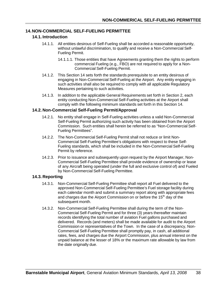## **14.NON-COMMERCIAL SELF-FUELING PERMITTEE**

### **14.1. Introduction**

- 14.1.1. All entities desirous of Self-Fueling shall be accorded a reasonable opportunity, without unlawful discrimination, to qualify and receive a Non-Commercial Self-Fueling Permit.
	- 14.1.1.1. Those entities that have Agreements granting them the rights to perform commercial Fueling (e.g., FBO) are not required to apply for a Non-Commercial Self-Fueling Permit.
- 14.1.2. This Section 14 sets forth the standards prerequisite to an entity desirous of engaging in Non-Commercial Self-Fueling at the Airport. Any entity engaging in such activities shall also be required to comply with all applicable Regulatory Measures pertaining to such activities.
- 14.1.3. In addition to the applicable General Requirements set forth in Section 2, each entity conducting Non-Commercial Self-Fueling activities at the Airport shall comply with the following minimum standards set forth in this Section 14.

#### **14.2. Non-Commercial Self-Fueling Permit/Approval**

- 14.2.1. No entity shall engage in Self-Fueling activities unless a valid Non-Commercial Self-Fueling Permit authorizing such activity has been obtained from the Airport Commission. Such entities shall herein be referred to as "Non-Commercial Self-Fueling Permittees".
- 14.2.2. The Non-Commercial Self-Fueling Permit shall not reduce or limit Non-Commercial Self-Fueling Permittee's obligations with respect to these Self-Fueling standards, which shall be included in the Non-Commercial Self-Fueling Permit by reference.
- 14.2.3. Prior to issuance and subsequently upon request by the Airport Manager, Non-Commercial Self-Fueling Permittee shall provide evidence of ownership or lease of any Aircraft being operated (under the full and exclusive control of) and Fueled by Non-Commercial Self-Fueling Permittee.

## **14.3. Reporting**

- 14.3.1. Non-Commercial Self-Fueling Permittee shall report all Fuel delivered to the approved Non-Commercial Self-Fueling Permittee's Fuel storage facility during each calendar month and submit a summary report along with appropriate fees and charges due the Airport Commission on or before the 15<sup>th</sup> day of the subsequent month.
- 14.3.2. Non-Commercial Self-Fueling Permittee shall during the term of the Non-Commercial Self-Fueling Permit and for three (3) years thereafter maintain records identifying the total number of aviation Fuel gallons purchased and delivered. Records (and meters) shall be made available for audit to the Airport Commission or representatives of the Town. In the case of a discrepancy, Non-Commercial Self-Fueling Permittee shall promptly pay, in cash, all additional rates, fees, and charges due the Airport Commission, plus annual interest on the unpaid balance at the lesser of 18% or the maximum rate allowable by law from the date originally due.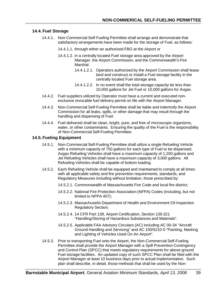## **14.4. Fuel Storage**

- 14.4.1. Non-Commercial Self-Fueling Permittee shall arrange and demonstrate that satisfactory arrangements have been made for the storage of Fuel, as follows:
	- 14.4.1.1. through either an authorized FBO at the Airport or
	- 14.4.1.2. in a centrally located Fuel storage area approved by the Airport Manager, the Airport Commission, and the Commonwealth's Fire Marshal.
		- 14.4.1.2.1. Operators authorized by the Airport Commission shall lease land and construct or install a Fuel storage facility in the centrally located Fuel storage area.
		- 14.4.1.2.2. In no event shall the total storage capacity be less than 10,000 gallons for Jet Fuel or 10,000 gallons for Avgas.
- 14.4.2. Fuel suppliers utilized by Operator must have a current and executed nonexclusive revocable fuel delivery permit on file with the Airport Manager.
- 14.4.3. Non-Commercial Self-Fueling Permittee shall be liable and indemnify the Airport Commission for all leaks, spills, or other damage that may result through the handling and dispensing of Fuel.
- 14.4.4. Fuel delivered shall be clean, bright, pure, and free of microscopic organisms, water, or other contaminants. Ensuring the quality of the Fuel is the responsibility of Non-Commercial Self-Fueling Permittee.

## **14.5. Fueling Equipment**

- 14.5.1. Non-Commercial Self-Fueling Permittee shall utilize a single Refueling Vehicle with a minimum capacity of 750 gallons for each type of Fuel to be dispensed. Avgas Refueling Vehicles shall have a maximum capacity of 1,200 gallons and Jet Refueling Vehicles shall have a maximum capacity of 3,000 gallons. All Refueling Vehicles shall be capable of bottom loading.
- 14.5.2. Each Refueling Vehicle shall be equipped and maintained to comply at all times with all applicable safety and fire prevention requirements, standards, and Regulatory Measures including without limitation, those prescribed by:
	- 14.5.2.1. Commonwealth of Massachusetts Fire Code and local fire district;
	- 14.5.2.2. National Fire Protection Association (NFPA) Codes (including, but not limited to NFPA 407);
	- 14.5.2.3. Massachusetts Department of Health and Environment Oil Inspection Regulatory Section;
	- 14.5.2.4. 14 CFR Part 139, Airport Certification, Section 139.321 "Handling/Storing of Hazardous Substances and Materials".
	- 14.5.2.5. Applicable FAA Advisory Circulars (AC) including AC 00-34 "Aircraft Ground Handling and Servicing" and AC 150/5210-5 "Painting, Marking and Lighting of Vehicles Used On An Airport".
- 14.5.3. Prior to transporting Fuel onto the Airport, the Non-Commercial Self-Fueling Permittee shall provide the Airport Manager with a Spill Prevention Contingency and Control Plan (SPCC) that meets regulatory requirements for above ground Fuel storage facilities. An updated copy of such SPCC Plan shall be filed with the Airport Manager at least 10 business days prior to actual implementation. Such plan shall describe, in detail, those methods that shall be used by the Non-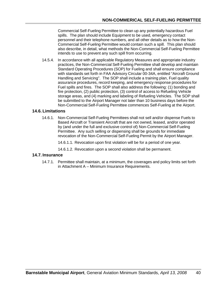Commercial Self-Fueling Permittee to clean up any potentially hazardous Fuel spills. The plan should include Equipment to be used, emergency contact personnel and their telephone numbers, and all other details as to how the Non-Commercial Self-Fueling Permittee would contain such a spill. This plan should also describe, in detail, what methods the Non-Commercial Self-Fueling Permittee intends to use to prevent any such spill from occurring.

14.5.4. In accordance with all applicable Regulatory Measures and appropriate industry practices, the Non-Commercial Self-Fueling Permittee shall develop and maintain Standard Operating Procedures (SOP) for Fueling and shall ensure compliance with standards set forth in FAA Advisory Circular 00-34A, entitled "Aircraft Ground Handling and Servicing". The SOP shall include a training plan, Fuel quality assurance procedures, record keeping, and emergency response procedures for Fuel spills and fires. The SOP shall also address the following: (1) bonding and fire protection, (2) public protection, (3) control of access to Refueling Vehicle storage areas, and (4) marking and labeling of Refueling Vehicles. The SOP shall be submitted to the Airport Manager not later than 10 business days before the Non-Commercial Self-Fueling Permittee commences Self-Fueling at the Airport.

## **14.6. Limitations**

- 14.6.1. Non-Commercial Self-Fueling Permittees shall not sell and/or dispense Fuels to Based Aircraft or Transient Aircraft that are not owned, leased, and/or operated by (and under the full and exclusive control of) Non-Commercial Self-Fueling Permittee. Any such selling or dispensing shall be grounds for immediate revocation of the Non-Commercial Self-Fueling Permit by the Airport Manager.
	- 14.6.1.1. Revocation upon first violation will be for a period of one year.
	- 14.6.1.2. Revocation upon a second violation shall be permanent.

## **14.7. Insurance**

14.7.1. Permittee shall maintain, at a minimum, the coverages and policy limits set forth in Attachment A – Minimum Insurance Requirements.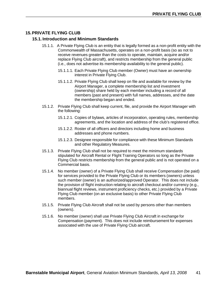## **15.PRIVATE FLYING CLUB**

#### **15.1. Introduction and Minimum Standards**

- 15.1.1. A Private Flying Club is an entity that is legally formed as a non-profit entity with the Commonwealth of Massachusetts, operates on a non-profit basis (so as not to receive revenues greater than the costs to operate, maintain, acquire and/or replace Flying Club aircraft), and restricts membership from the general public (i.e., does not advertise its membership availability to the general public).
	- 15.1.1.1. Each Private Flying Club member (Owner) must have an ownership interest in Private Flying Club.
	- 15.1.1.2. Private Flying Club shall keep on file and available for review by the Airport Manager, a complete membership list and investment (ownership) share held by each member including a record of all members (past and present) with full names, addresses, and the date the membership began and ended.
- 15.1.2. Private Flying Club shall keep current, file, and provide the Airport Manager with the following:
	- 15.1.2.1. Copies of bylaws, articles of incorporation, operating rules, membership agreements, and the location and address of the club's registered office.
	- 15.1.2.2. Roster of all officers and directors including home and business addresses and phone numbers.
	- 15.1.2.3. Designee responsible for compliance with these Minimum Standards and other Regulatory Measures.
- 15.1.3. Private Flying Club shall not be required to meet the minimum standards stipulated for Aircraft Rental or Flight Training Operators so long as the Private Flying Club restricts membership from the general public and is not operated on a Commercial basis.
- 15.1.4. No member (owner) of a Private Flying Club shall receive Compensation (be paid) for services provided to the Private Flying Club or its members (owners) unless such member (owner) is an authorized/approved Operator. This does not include the provision of flight instruction relating to aircraft checkout and/or currency (e.g., biannual flight reviews, instrument proficiency checks, etc.) provided by a Private Flying Club member (on an exclusive basis) to other Private Flying Club members.
- 15.1.5. Private Flying Club Aircraft shall not be used by persons other than members (owners).
- 15.1.6. No member (owner) shall use Private Flying Club Aircraft in exchange for Compensation (payment). This does not include reimbursement for expenses associated with the use of Private Flying Club aircraft.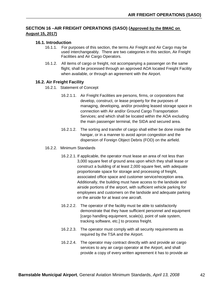## **SECTION 16 –AIR FREIGHT OPERATIONS (SASO) (Approved by the BMAC on August 15, 2017)**

## **16.1. Introduction**

- 16.1.1. For purposes of this section, the terms Air Freight and Air Cargo may be used interchangeably. There are two categories in this section, Air Freight Facilities and Air Cargo Operators.
- 16.1.2. All items of cargo or freight, not accompanying a passenger on the same flight, shall be processed through an approved AOA located Freight Facility when available, or through an agreement with the Airport.

#### **16.2. Air Freight Facility**

- 16.2.1. Statement of Concept
	- 16.2.1.1. Air Freight Facilities are persons, firms, or corporations that develop, construct, or lease property for the purposes of managing, developing, and/or providing leased storage space in connection with Air and/or Ground Cargo Transportation Services; and which shall be located within the AOA excluding the main passenger terminal, the SIDA and secured area.
	- 16.2.1.2. The sorting and transfer of cargo shall either be done inside the hangar, or in a manner to avoid apron congestion and the dispersion of Foreign Object Debris (FOD) on the airfield.
- 16.2.2. Minimum Standards
	- 16.2.2.1. If applicable, the operator must lease an area of not less than 3,000 square feet of ground area upon which they shall lease or construct a building of at least 2,000 square feet, with adequate proportionate space for storage and processing of freight, associated office space and customer service/reception area. Additionally, the building must have access to the landside and airside portions of the airport, with sufficient vehicle parking for employees and customers on the landside and adequate parking on the airside for at least one aircraft.
	- 16.2.2.2. The operator of the facility must be able to satisfactorily demonstrate that they have sufficient personnel and equipment [cargo handling equipment, scale(s), point of sale system, tracking software, etc.] to process freight.
	- 16.2.2.3. The operator must comply with all security requirements as required by the TSA and the Airport.
	- 16.2.2.4. The operator may contract directly with and provide air cargo services to any air cargo operator at the Airport, and shall provide a copy of every written agreement it has to provide air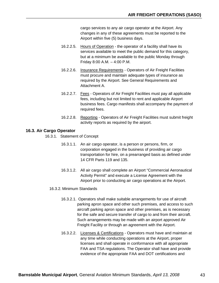cargo services to any air cargo operator at the Airport. Any changes in any of these agreements must be reported to the Airport within five (5) business days.

- 16.2.2.5. Hours of Operation the operator of a facility shall have its services available to meet the public demand for this category, but at a minimum be available to the public Monday through Friday 8:00 A.M. – 4:00 P.M.
- 16.2.2.6. Insurance Requirements Operators of Air Freight Facilities must procure and maintain adequate types of insurance as required by the Airport. See General Requirements and Attachment A.
- 16.2.2.7. Fees Operators of Air Freight Facilities must pay all applicable fees, including but not limited to rent and applicable Airport business fees. Cargo manifests shall accompany the payment of required fees.
- 16.2.2.8. Reporting Operators of Air Freight Facilities must submit freight activity reports as required by the airport.

## **16.3. Air Cargo Operator**

- 16.3.1. Statement of Concept
	- 16.3.1.1. An air cargo operator, is a person or persons, firm, or corporation engaged in the business of providing air cargo transportation for hire, on a prearranged basis as defined under 14 CFR Parts 119 and 135.
	- 16.3.1.2. All air cargo shall complete an Airport "Commercial Aeronautical Activity Permit" and execute a License Agreement with the Airport prior to conducting air cargo operations at the Airport.

#### 16.3.2. Minimum Standards

- 16.3.2.1. Operators shall make suitable arrangements for use of aircraft parking apron space and other such premises, and access to such aircraft parking apron space and other premises, as is necessary for the safe and secure transfer of cargo to and from their aircraft. Such arrangements may be made with an airport approved Air Freight Facility or through an agreement with the Airport.
- 16.3.2.2. Licenses & Certifications Operators must have and maintain at any time while conducting operations at the Airport, proper licenses and shall operate in conformance with all appropriate FAA and TSA regulations. The Operator shall have and provide evidence of the appropriate FAA and DOT certifications and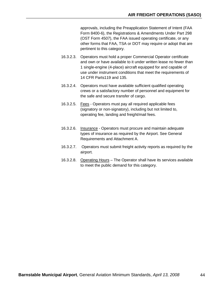approvals, including the Preapplication Statement of Intent (FAA Form 8400-6), the Registrations & Amendments Under Part 298 (OST Form 4507), the FAA issued operating certificate, or any other forms that FAA, TSA or DOT may require or adopt that are pertinent to this category.

- 16.3.2.3. Operators must hold a proper Commercial Operator certificate and own or have available to it under written lease no fewer than 1 single-engine (4-place) aircraft equipped for and capable of use under instrument conditions that meet the requirements of 14 CFR Parts119 and 135.
- 16.3.2.4. Operators must have available sufficient qualified operating crews or a satisfactory number of personnel and equipment for the safe and secure transfer of cargo.
- 16.3.2.5. Fees Operators must pay all required applicable fees (signatory or non-signatory), including but not limited to, operating fee, landing and freight/mail fees.
- 16.3.2.6. Insurance Operators must procure and maintain adequate types of insurance as required by the Airport. See General Requirements and Attachment A.
- 16.3.2.7. Operators must submit freight activity reports as required by the airport.
- 16.3.2.8. Operating Hours The Operator shall have its services available to meet the public demand for this category.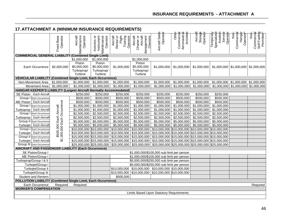# **17.ATTACHMENT A (MINIMUM INSURANCE REQUIREMENTS)**

|                                                                         | Fixed Base<br>Operator                              | Aircraft<br>Maintenance<br>Operator            | Maintenance<br>Instrument<br>Avionics or<br>Operator | Training<br>Aircraft<br>Rental or<br>Flight<br>Operator | Aircraft<br>Aircraft<br>Management<br>Charter or<br>Operator | Operator<br>Aircraft Sales                                                                                                   | Other<br>Aeronautical<br>Activities<br>Commercial | Aircraft<br>Storage<br>Operator | Specialized<br>Aviation<br>Operato<br>Temporar<br>Servict | Commercial<br>Hangar<br>Operator*<br>$\frac{5}{2}$ | Self-Fueling<br>Permittee*<br>Commercial<br>$\frac{5}{2}$ |
|-------------------------------------------------------------------------|-----------------------------------------------------|------------------------------------------------|------------------------------------------------------|---------------------------------------------------------|--------------------------------------------------------------|------------------------------------------------------------------------------------------------------------------------------|---------------------------------------------------|---------------------------------|-----------------------------------------------------------|----------------------------------------------------|-----------------------------------------------------------|
| <b>COMMERCIAL GENERAL LIABILITY (Combined Single Limit)</b>             |                                                     |                                                |                                                      |                                                         |                                                              |                                                                                                                              |                                                   |                                 |                                                           |                                                    |                                                           |
|                                                                         |                                                     | \$1,000,000                                    | \$1,000,000                                          |                                                         | \$1,000,000                                                  |                                                                                                                              |                                                   |                                 |                                                           |                                                    |                                                           |
| Each Occurrence                                                         | \$2,000,000                                         | Piston<br>\$5,000,000<br>Turboprop/<br>Turbine | Piston<br>\$5,000,000<br>Turboprop/<br>Turbine       | \$1,000,000                                             | Piston<br>\$5,000,000<br>Turboprop/<br>Turbine               | \$1,000,000                                                                                                                  | \$1,000,000                                       | \$1,000,000                     |                                                           | $$1,000,000$   \$1,000,000   \$1,000,000           |                                                           |
| <b>VEHICULAR LIABILITY (Combined Single Limit, Each Occurrence)</b>     |                                                     |                                                |                                                      |                                                         |                                                              |                                                                                                                              |                                                   |                                 |                                                           |                                                    |                                                           |
| Non-Movement Area \$1,000,000                                           |                                                     | \$1,000,000                                    | \$1,000,000                                          | \$1,000,000                                             | \$1,000,000                                                  | \$1,000,000                                                                                                                  | \$1,000,000                                       | \$1,000,000                     |                                                           | \$1,000,000 \$1,000,000 \$1,000,000                |                                                           |
| Movement Area                                                           | \$1,000,000                                         | \$1,000,000                                    | \$1,000,000                                          | \$1,000,000                                             | \$1,000,000                                                  | \$1,000,000                                                                                                                  | \$1,000,000                                       | \$1,000,000                     |                                                           | $$1,000,000$ $$1,000,000$ $$1,000,000$             |                                                           |
| HANGAR KEEPER'S LIABILITY (Largest Aircraft Normally Accommodated)      |                                                     |                                                |                                                      |                                                         |                                                              |                                                                                                                              |                                                   |                                 |                                                           |                                                    |                                                           |
| <b>SE Piston</b><br><b>Each Aircraft</b>                                |                                                     | \$250,000                                      | \$250,000                                            | \$250,000                                               | \$250,000                                                    | \$250,000                                                                                                                    | \$250,000                                         | \$250,000                       | \$250,000                                                 |                                                    |                                                           |
| Group   Each Occurrence                                                 |                                                     | \$500,000                                      | \$500,000                                            | \$500,000                                               | \$500,000                                                    | \$500,000                                                                                                                    | \$500,000                                         | \$500,000                       | \$500,000                                                 |                                                    |                                                           |
| ME Piston   Each Aircraft                                               | \$500,000 Each Aircraft<br>,000,000 Each Occurrence | \$500,000                                      | \$500,000                                            | \$500,000                                               | \$500,000                                                    | \$500,000                                                                                                                    | \$500,000                                         | \$500,000                       | $\overline{$}500,000$                                     |                                                    |                                                           |
| Group   Each Occurrence                                                 |                                                     | \$1,000,000                                    | \$1,000,000                                          | \$1,000,000                                             | \$1,000,000                                                  | \$1,000,000                                                                                                                  | \$1,000,000                                       | \$1,000,000                     | \$1,000,000                                               |                                                    |                                                           |
| Turboprop   Each Aircraft                                               |                                                     | \$1,000,000                                    | \$1,000,000                                          | \$1,000,000                                             | \$1,000,000                                                  | \$1,000,000                                                                                                                  | \$1,000,000                                       | \$1,000,000                     | \$1,000,000                                               |                                                    |                                                           |
| Group   Each Occurrence                                                 |                                                     | \$2,500,000                                    | \$2,500,000                                          | \$2,500,000                                             | \$2,500,000                                                  |                                                                                                                              | $$2,500,000$ $$2,500,000$                         | \$2,500,000                     | \$2,500,000                                               |                                                    |                                                           |
| Turboprop   Each Aircraft                                               |                                                     | \$2,500,000                                    | $\overline{$2,500,000}$                              | \$2,500,000                                             | \$2,500,000                                                  | \$2,500,000                                                                                                                  | \$2,500,000                                       | \$2,500,000                     | \$2,500,000                                               |                                                    |                                                           |
| Group II Each Occurrence                                                |                                                     | \$5,000,000                                    | \$5,000,000                                          | \$5,000,000                                             | \$5,000,000                                                  | \$5,000,000                                                                                                                  | \$5,000,000                                       | \$5,000,000                     | \$5,000,000                                               |                                                    |                                                           |
| Turbojet   Each Aircraft                                                |                                                     | \$5,000,000                                    | \$5,000,000                                          | \$5,000,000                                             | \$5,000,000                                                  | \$5,000,000                                                                                                                  | \$5,000,000                                       | \$5,000,000                     | \$5,000,000                                               |                                                    |                                                           |
| Group   Each Occurrence                                                 |                                                     | \$10,000,000 \$10,000,000                      |                                                      | \$10,000,000                                            | \$10,000,000                                                 | \$10,000,000   \$10,000,000   \$10,000,000   \$10,000,000                                                                    |                                                   |                                 |                                                           |                                                    |                                                           |
| Turbojet   Each Aircraft                                                |                                                     | $$10,000,000$ \$10,000,000                     |                                                      | \$10,000,000                                            | \$10,000,000                                                 | $\frac{1}{2}$ \$10,000,000 \$10,000,000 \$10,000,000 \$10,000,000                                                            |                                                   |                                 |                                                           |                                                    |                                                           |
| Group II Each Occurrence                                                | $\overline{\mathfrak{s}}$                           | \$15,000,000 \$15,000,000                      |                                                      | \$15,000,000                                            | \$15,000,000                                                 | $$15,000,000$ \$15,000,000 \$15,000,000 \$15,000,000                                                                         |                                                   |                                 |                                                           |                                                    |                                                           |
| Turbojet   Each Aircraft                                                |                                                     | \$15,000,000 \$15,000,000                      |                                                      | \$15,000,000                                            |                                                              | $\frac{1}{3}$ 15,000,000 $\frac{1}{3}$ 15,000,000 $\frac{1}{3}$ 15,000,000 $\frac{1}{3}$ 15,000,000 $\frac{1}{3}$ 15,000,000 |                                                   |                                 |                                                           |                                                    |                                                           |
| Group III Each Occurrence                                               |                                                     |                                                |                                                      | $$25,000,000$ $$25,000,000$ $$25,000,000$               |                                                              | $\mid$ \$25,000,000 $\mid$ \$25,000,000 $\mid$ \$25,000,000 $\mid$ \$25,000,000 $\mid$ \$25,000,000                          |                                                   |                                 |                                                           |                                                    |                                                           |
| AIRCRAFT AND PASSENGER LIABILITY (Each Occurrence)                      |                                                     |                                                |                                                      |                                                         |                                                              |                                                                                                                              |                                                   |                                 |                                                           |                                                    |                                                           |
| SE Piston/Group I<br>ME Piston/Group I                                  |                                                     |                                                |                                                      |                                                         |                                                              | \$1,000,000/\$100,000 sub limit per person                                                                                   |                                                   |                                 |                                                           |                                                    |                                                           |
|                                                                         |                                                     |                                                |                                                      |                                                         |                                                              | \$1,000,000/\$100,000 sub limit per person                                                                                   |                                                   |                                 |                                                           |                                                    |                                                           |
| Turboprop/Group I & II                                                  |                                                     |                                                |                                                      |                                                         |                                                              | \$5,000,000/\$250,000 sub limit per person                                                                                   |                                                   |                                 |                                                           |                                                    |                                                           |
| Turbojet/Group I                                                        |                                                     |                                                |                                                      |                                                         |                                                              | \$5,000,000/\$250,000 sub limit per person                                                                                   |                                                   |                                 |                                                           |                                                    |                                                           |
| Turbojet/Group II                                                       |                                                     |                                                |                                                      |                                                         |                                                              | \$10,000,000 \$10,000,000 \$10,000,000 \$10,000,000                                                                          |                                                   |                                 |                                                           |                                                    |                                                           |
| Turbojet/Group III                                                      |                                                     |                                                |                                                      |                                                         |                                                              | $\frac{1}{2}10,000,000$ \$10,000,000 \$10,000,000 \$10,000,000                                                               |                                                   |                                 |                                                           |                                                    |                                                           |
| <b>Student and Renters</b>                                              |                                                     |                                                |                                                      | \$500,000                                               |                                                              |                                                                                                                              |                                                   |                                 |                                                           |                                                    |                                                           |
| POLLUTION LIABILITY (Combined Single Limit, Each Occurrence)            |                                                     |                                                |                                                      |                                                         |                                                              |                                                                                                                              |                                                   |                                 |                                                           |                                                    |                                                           |
| Each Occurrence<br>Required<br>Required<br><b>WORKER'S COMPENSATION</b> |                                                     |                                                |                                                      |                                                         |                                                              |                                                                                                                              |                                                   |                                 |                                                           |                                                    | Required                                                  |
|                                                                         |                                                     |                                                |                                                      |                                                         |                                                              |                                                                                                                              |                                                   |                                 |                                                           |                                                    |                                                           |
| Limits Based Upon Statutory Requirements                                |                                                     |                                                |                                                      |                                                         |                                                              |                                                                                                                              |                                                   |                                 |                                                           |                                                    |                                                           |
|                                                                         |                                                     |                                                |                                                      |                                                         |                                                              |                                                                                                                              |                                                   |                                 |                                                           |                                                    |                                                           |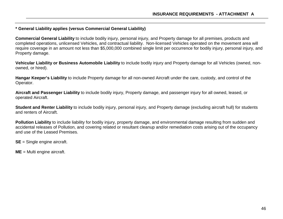#### **\* General Liability applies (versus Commercial General Liability)**

**Commercial General Liability** to include bodily injury, personal injury, and Property damage for all premises, products and completed operations, unlicensed Vehicles, and contractual liability. Non-licensed Vehicles operated on the movement area will require coverage in an amount not less than \$5,000,000 combined single limit per occurrence for bodily injury, personal injury, and Property damage.

**Vehicular Liability or Business Automobile Liability** to include bodily injury and Property damage for all Vehicles (owned, nonowned, or hired).

**Hangar Keeper's Liability** to include Property damage for all non-owned Aircraft under the care, custody, and control of the Operator.

**Aircraft and Passenger Liability** to include bodily injury, Property damage, and passenger injury for all owned, leased, or operated Aircraft.

**Student and Renter Liability** to include bodily injury, personal injury, and Property damage (excluding aircraft hull) for students and renters of Aircraft.

**Pollution Liability** to include liability for bodily injury, property damage, and environmental damage resulting from sudden and accidental releases of Pollution, and covering related or resultant cleanup and/or remediation costs arising out of the occupancy and use of the Leased Premises.

**SE** = Single engine aircraft.

**ME** = Multi engine aircraft.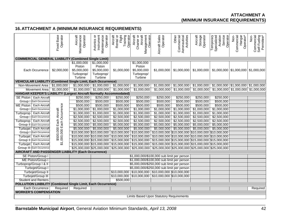## **ATTACHMENT A (MINIMUM INSURANCE REQUIREMENTS)**

# **16.ATTACHMENT A (MINIMUM INSURANCE REQUIREMENTS)**

|                                                                                  | Operator<br><b>Fixed Base</b>                       | Aircraft<br>Maintenance<br>Operator                | Instrument<br>Operator<br>Avionics or<br>Maintenance | Rental or<br>Flight<br>Aircraft<br>Training<br>Operator                                                                       | Aircraft<br>Management<br>Operator<br>Charter or<br>Aircraft | <b>Aircraft Sales</b><br>Operator                                                 | Aeronautical<br>Activities<br>Commercial<br>Other | Aircraft<br>Storage<br>Operator | Aviation<br>Service<br>Temporary<br>Specialized<br>Operator | Hangar<br>Commercial<br>Non-<br>Operator* | Commercial<br>Self-Fueling<br>Permittee*<br>Non- |
|----------------------------------------------------------------------------------|-----------------------------------------------------|----------------------------------------------------|------------------------------------------------------|-------------------------------------------------------------------------------------------------------------------------------|--------------------------------------------------------------|-----------------------------------------------------------------------------------|---------------------------------------------------|---------------------------------|-------------------------------------------------------------|-------------------------------------------|--------------------------------------------------|
|                                                                                  |                                                     |                                                    |                                                      |                                                                                                                               |                                                              |                                                                                   |                                                   |                                 |                                                             |                                           |                                                  |
| <b>COMMERCIAL GENERAL LIABILITY (Combined Single Limit)</b>                      |                                                     |                                                    |                                                      |                                                                                                                               |                                                              |                                                                                   |                                                   |                                 |                                                             |                                           |                                                  |
| Each Occurrence                                                                  | \$2,000,000                                         | \$1,000,000<br>Piston<br>\$5,000,000<br>Turboprop/ | \$1,000,000<br>Piston<br>\$5,000,000<br>Turboprop/   | \$1,000,000                                                                                                                   | \$1,000,000<br>Piston<br>\$5,000,000<br>Turboprop/           | \$1,000,000                                                                       | \$1,000,000                                       | \$1,000,000                     |                                                             | $$1,000,000$ $$1,000,000$ $$1,000,000$    |                                                  |
|                                                                                  |                                                     | Turbine                                            | Turbine                                              |                                                                                                                               | Turbine                                                      |                                                                                   |                                                   |                                 |                                                             |                                           |                                                  |
| <b>VEHICULAR LIABILITY (Combined Single Limit, Each Occurrence)</b>              |                                                     |                                                    |                                                      |                                                                                                                               |                                                              |                                                                                   |                                                   |                                 |                                                             |                                           |                                                  |
| Non-Movement Area                                                                | \$1,000,000                                         | \$1,000,000                                        | \$1,000,000                                          | \$1,000,000                                                                                                                   | \$1,000,000                                                  | \$1,000,000                                                                       | \$1,000,000                                       | \$1,000,000                     |                                                             | $$1,000,000$   \$1,000,000   \$1,000,000  |                                                  |
| Movement Area                                                                    | \$1,000,000                                         |                                                    | $$1,000,000$ \$1,000,000                             | \$1,000,000                                                                                                                   | \$1,000,000                                                  | \$1,000,000                                                                       | \$1,000,000                                       | \$1,000,000                     |                                                             | $$1,000,000$ $$1,000,000$ $$1,000,000$    |                                                  |
| HANGAR KEEPER'S LIABILITY (Largest Aircraft Normally Accommodated)               |                                                     |                                                    |                                                      |                                                                                                                               |                                                              |                                                                                   |                                                   |                                 |                                                             |                                           |                                                  |
| <b>SE Piston</b><br>Each Aircraft                                                |                                                     | \$250,000                                          | \$250,000                                            | \$250,000                                                                                                                     | \$250,000                                                    | \$250,000                                                                         | \$250,000                                         | \$250,000                       | \$250,000                                                   |                                           |                                                  |
| Group   Each Occurrence                                                          |                                                     | \$500,000                                          | \$500,000                                            | \$500,000                                                                                                                     | \$500,000                                                    | \$500,000                                                                         | \$500,000                                         | \$500,000                       | \$500,000                                                   |                                           |                                                  |
| <b>ME Piston</b><br><b>Each Aircraft</b>                                         |                                                     | \$500,000                                          | \$500,000                                            | \$500,000                                                                                                                     | \$500,000                                                    | \$500,000                                                                         | \$500,000                                         | \$500,000                       | \$500,000                                                   |                                           |                                                  |
| Group   Each Occurrence                                                          |                                                     | \$1,000,000                                        | \$1,000,000                                          | \$1,000,000                                                                                                                   | \$1,000,000                                                  | \$1,000,000                                                                       | \$1,000,000                                       | \$1,000,000                     | \$1,000,000                                                 |                                           |                                                  |
| Turboprop<br><b>Each Aircraft</b>                                                | \$500,000 Each Aircraft<br>,000,000 Each Occurrence | \$1,000,000                                        | \$1,000,000                                          | \$1,000,000                                                                                                                   | \$1,000,000                                                  | \$1,000,000                                                                       | \$1,000,000                                       | \$1,000,000                     | \$1,000,000                                                 |                                           |                                                  |
| Group I<br>Each Occurrence                                                       |                                                     | \$2,500,000                                        | \$2,500,000                                          | \$2,500,000                                                                                                                   | \$2,500,000                                                  | \$2,500,000                                                                       | \$2,500,000                                       | \$2,500,000                     | \$2,500,000                                                 |                                           |                                                  |
| Turboprop<br><b>Each Aircraft</b>                                                |                                                     | \$2,500,000                                        | \$2,500,000                                          | \$2,500,000                                                                                                                   | \$2,500,000                                                  | \$2,500,000                                                                       | \$2,500,000                                       | \$2,500,000                     | \$2,500,000                                                 |                                           |                                                  |
| Group II Each Occurrence                                                         |                                                     | \$5,000,000                                        | \$5,000,000                                          | \$5,000,000                                                                                                                   | \$5,000,000                                                  | \$5,000,000                                                                       | \$5,000,000                                       | \$5,000,000                     | \$5,000,000                                                 |                                           |                                                  |
| Turbojet   Each Aircraft                                                         |                                                     |                                                    | $$5,000,000$ \$5,000,000                             | \$5,000,000                                                                                                                   | \$5,000,000                                                  | \$5,000,000                                                                       | \$5,000,000                                       | \$5,000,000                     | \$5,000,000                                                 |                                           |                                                  |
| Group   Each Occurrence                                                          |                                                     |                                                    |                                                      | $$10,000,000$ $$10,000,000$ $$10,000,000$ $$10,000,000$ $$10,000,000$ $$10,000,000$ $$10,000,000$ $$10,000,000$ $$10,000,000$ |                                                              |                                                                                   |                                                   |                                 |                                                             |                                           |                                                  |
| Turbojet<br><b>Each Aircraft</b>                                                 |                                                     | \$10,000,000 \$10,000,000                          |                                                      | \$10,000,000                                                                                                                  |                                                              | $\frac{1}{3}10,000,000$ \$10,000,000 \$10,000,000 \$10,000,000 \$10,000,000       |                                                   |                                 |                                                             |                                           |                                                  |
| Group II Each Occurrence                                                         |                                                     | \$15,000,000 \$15,000,000                          |                                                      | \$15,000,000                                                                                                                  |                                                              | $\frac{15,000,000}{1000,000}$ \$15,000,000 \$15,000,000 \$15,000,000 \$15,000,000 |                                                   |                                 |                                                             |                                           |                                                  |
| Turbojet Each Aircraft                                                           | $\overline{\mathfrak{s}}$                           |                                                    |                                                      | $$15,000,000$ $$15,000,000$ $$15,000,000$ $$15,000,000$ $$15,000,000$ $$15,000,000$ $$15,000,000$ $$15,000,000$ $$15,000,000$ |                                                              |                                                                                   |                                                   |                                 |                                                             |                                           |                                                  |
| Group III Each Occurrence                                                        |                                                     |                                                    |                                                      | $$25,000,000$ $$25,000,000$ $$25,000,000$ $$25,000,000$ $$25,000,000$ $$25,000,000$ $$25,000,000$ $$25,000,000$ $$25,000,000$ |                                                              |                                                                                   |                                                   |                                 |                                                             |                                           |                                                  |
| AIRCRAFT AND PASSENGER LIABILITY (Each Occurrence)                               |                                                     |                                                    |                                                      |                                                                                                                               |                                                              |                                                                                   |                                                   |                                 |                                                             |                                           |                                                  |
| <b>SE Piston/Group</b>                                                           |                                                     |                                                    |                                                      |                                                                                                                               | \$1,000,000/\$100,000 sub limit per person                   |                                                                                   |                                                   |                                 |                                                             |                                           |                                                  |
| ME Piston/Group I                                                                |                                                     |                                                    |                                                      |                                                                                                                               | \$1,000,000/\$100,000 sub limit per person                   |                                                                                   |                                                   |                                 |                                                             |                                           |                                                  |
| Turboprop/Group   & II                                                           |                                                     | \$5,000,000/\$250,000 sub limit per person         |                                                      |                                                                                                                               |                                                              |                                                                                   |                                                   |                                 |                                                             |                                           |                                                  |
| Turbojet/Group I                                                                 |                                                     |                                                    |                                                      |                                                                                                                               | \$5,000,000/\$250,000 sub limit per person                   |                                                                                   |                                                   |                                 |                                                             |                                           |                                                  |
| Turbojet/Group II                                                                |                                                     |                                                    |                                                      |                                                                                                                               | \$10,000,000   \$10,000,000   \$10,000,000   \$10,000,000    |                                                                                   |                                                   |                                 |                                                             |                                           |                                                  |
| Turbojet/Group III                                                               |                                                     |                                                    |                                                      |                                                                                                                               | $$10,000,000$ $$10,000,000$ $$10,000,000$ $$10,000,000$      |                                                                                   |                                                   |                                 |                                                             |                                           |                                                  |
| <b>Student and Renters</b>                                                       |                                                     |                                                    |                                                      | \$500,000                                                                                                                     |                                                              |                                                                                   |                                                   |                                 |                                                             |                                           |                                                  |
| POLLUTION LIABILITY (Combined Single Limit, Each Occurrence)                     |                                                     |                                                    |                                                      |                                                                                                                               |                                                              |                                                                                   |                                                   |                                 |                                                             |                                           |                                                  |
| <b>Each Occurrence</b>                                                           | Required                                            | Required                                           |                                                      |                                                                                                                               |                                                              |                                                                                   |                                                   |                                 |                                                             |                                           | Required                                         |
| <b>WORKER'S COMPENSATION</b>                                                     |                                                     |                                                    |                                                      |                                                                                                                               |                                                              |                                                                                   |                                                   |                                 |                                                             |                                           |                                                  |
|                                                                                  |                                                     |                                                    |                                                      |                                                                                                                               | <b>Limits Based Upon Statutory Requirements</b>              |                                                                                   |                                                   |                                 |                                                             |                                           |                                                  |
|                                                                                  |                                                     |                                                    |                                                      |                                                                                                                               |                                                              |                                                                                   |                                                   |                                 |                                                             |                                           |                                                  |
|                                                                                  |                                                     |                                                    |                                                      |                                                                                                                               |                                                              |                                                                                   |                                                   |                                 |                                                             |                                           |                                                  |
| Barnstable Municipal Airport, General Aviation Minimum Standards, April 13, 2008 |                                                     |                                                    |                                                      |                                                                                                                               |                                                              |                                                                                   |                                                   |                                 |                                                             |                                           | 42                                               |
|                                                                                  |                                                     |                                                    |                                                      |                                                                                                                               |                                                              |                                                                                   |                                                   |                                 |                                                             |                                           |                                                  |